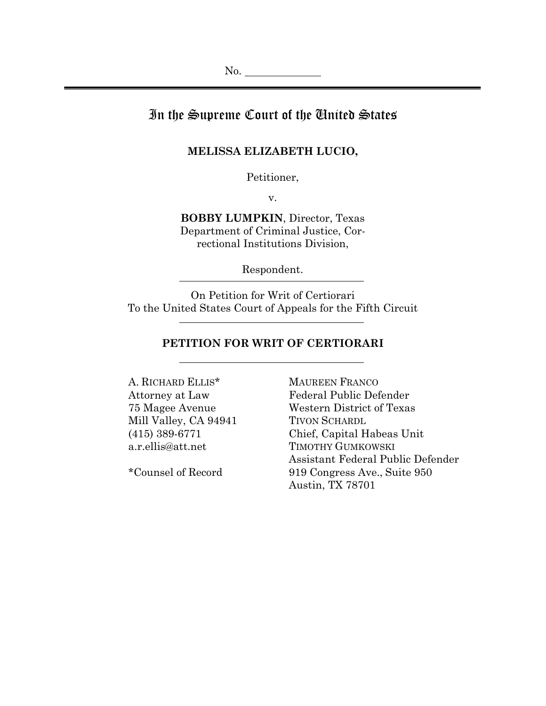# In the Supreme Court of the United States

### **MELISSA ELIZABETH LUCIO,**

Petitioner,

v.

**BOBBY LUMPKIN**, Director, Texas Department of Criminal Justice, Correctional Institutions Division,

Respondent.

On Petition for Writ of Certiorari To the United States Court of Appeals for the Fifth Circuit

## **PETITION FOR WRIT OF CERTIORARI**

A. RICHARD ELLIS\* Attorney at Law 75 Magee Avenue Mill Valley, CA 94941 (415) 389-6771 a.r.ellis@att.net

\*Counsel of Record

MAUREEN FRANCO Federal Public Defender Western District of Texas TIVON SCHARDL Chief, Capital Habeas Unit TIMOTHY GUMKOWSKI Assistant Federal Public Defender 919 Congress Ave., Suite 950 Austin, TX 78701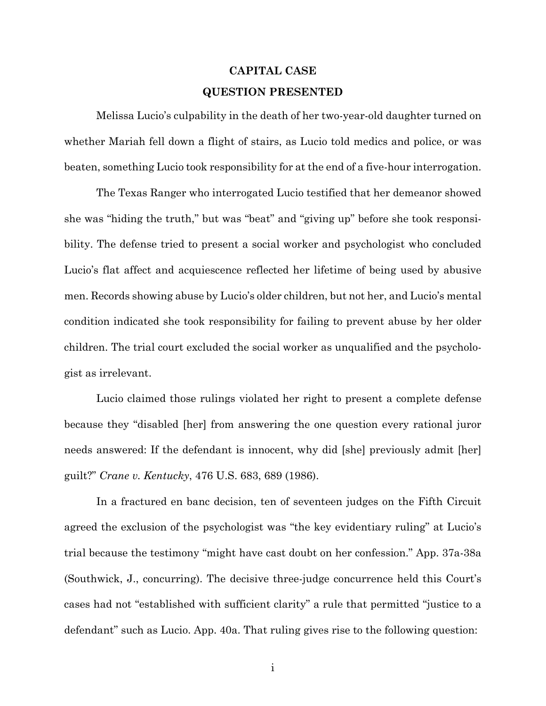# **CAPITAL CASE QUESTION PRESENTED**

 Melissa Lucio's culpability in the death of her two-year-old daughter turned on whether Mariah fell down a flight of stairs, as Lucio told medics and police, or was beaten, something Lucio took responsibility for at the end of a five-hour interrogation.

 The Texas Ranger who interrogated Lucio testified that her demeanor showed she was "hiding the truth," but was "beat" and "giving up" before she took responsibility. The defense tried to present a social worker and psychologist who concluded Lucio's flat affect and acquiescence reflected her lifetime of being used by abusive men. Records showing abuse by Lucio's older children, but not her, and Lucio's mental condition indicated she took responsibility for failing to prevent abuse by her older children. The trial court excluded the social worker as unqualified and the psychologist as irrelevant.

 Lucio claimed those rulings violated her right to present a complete defense because they "disabled [her] from answering the one question every rational juror needs answered: If the defendant is innocent, why did [she] previously admit [her] guilt?" *Crane v. Kentucky*, 476 U.S. 683, 689 (1986).

 In a fractured en banc decision, ten of seventeen judges on the Fifth Circuit agreed the exclusion of the psychologist was "the key evidentiary ruling" at Lucio's trial because the testimony "might have cast doubt on her confession." App. 37a-38a (Southwick, J., concurring). The decisive three-judge concurrence held this Court's cases had not "established with sufficient clarity" a rule that permitted "justice to a defendant" such as Lucio. App. 40a. That ruling gives rise to the following question: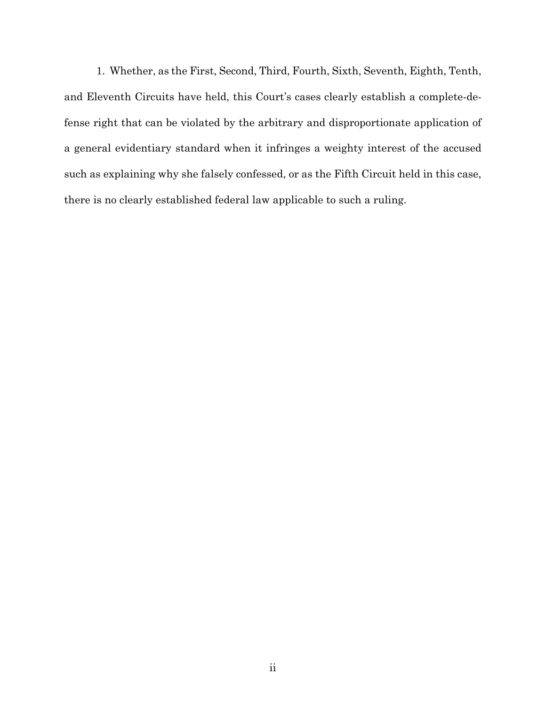1. Whether, as the First, Second, Third, Fourth, Sixth, Seventh, Eighth, Tenth, and Eleventh Circuits have held, this Court's cases clearly establish a complete-defense right that can be violated by the arbitrary and disproportionate application of a general evidentiary standard when it infringes a weighty interest of the accused such as explaining why she falsely confessed, or as the Fifth Circuit held in this case, there is no clearly established federal law applicable to such a ruling.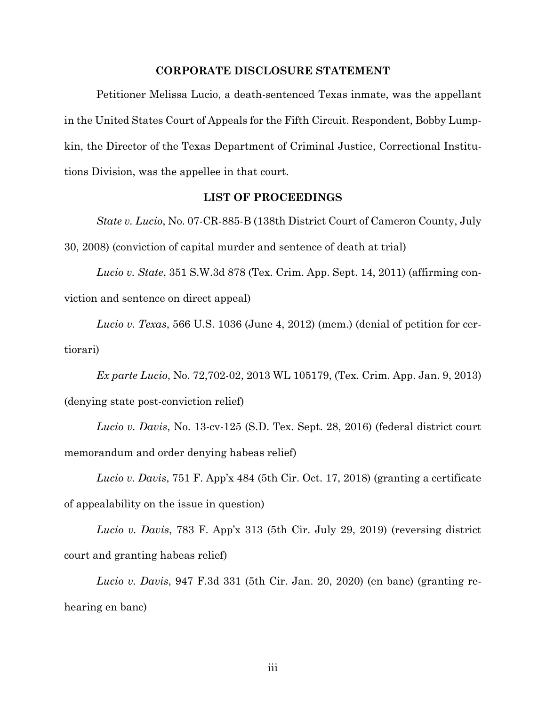#### **CORPORATE DISCLOSURE STATEMENT**

 Petitioner Melissa Lucio, a death-sentenced Texas inmate, was the appellant in the United States Court of Appeals for the Fifth Circuit. Respondent, Bobby Lumpkin, the Director of the Texas Department of Criminal Justice, Correctional Institutions Division, was the appellee in that court.

## **LIST OF PROCEEDINGS**

 *State v. Lucio*, No. 07-CR-885-B (138th District Court of Cameron County, July 30, 2008) (conviction of capital murder and sentence of death at trial)

*Lucio v. State*, 351 S.W.3d 878 (Tex. Crim. App. Sept. 14, 2011) (affirming conviction and sentence on direct appeal)

*Lucio v. Texas*, 566 U.S. 1036 (June 4, 2012) (mem.) (denial of petition for certiorari)

*Ex parte Lucio*, No. 72,702-02, 2013 WL 105179, (Tex. Crim. App. Jan. 9, 2013) (denying state post-conviction relief)

*Lucio v. Davis*, No. 13-cv-125 (S.D. Tex. Sept. 28, 2016) (federal district court memorandum and order denying habeas relief)

*Lucio v. Davis*, 751 F. App'x 484 (5th Cir. Oct. 17, 2018) (granting a certificate of appealability on the issue in question)

*Lucio v. Davis*, 783 F. App'x 313 (5th Cir. July 29, 2019) (reversing district court and granting habeas relief)

*Lucio v. Davis*, 947 F.3d 331 (5th Cir. Jan. 20, 2020) (en banc) (granting rehearing en banc)

iii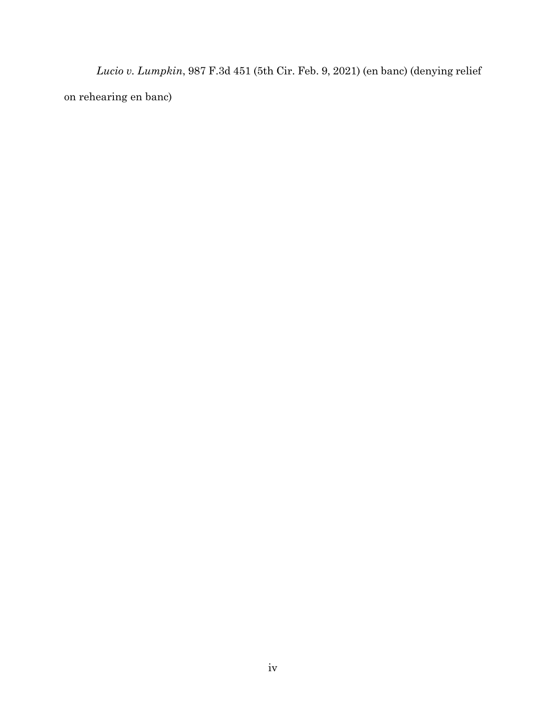*Lucio v. Lumpkin*, 987 F.3d 451 (5th Cir. Feb. 9, 2021) (en banc) (denying relief on rehearing en banc)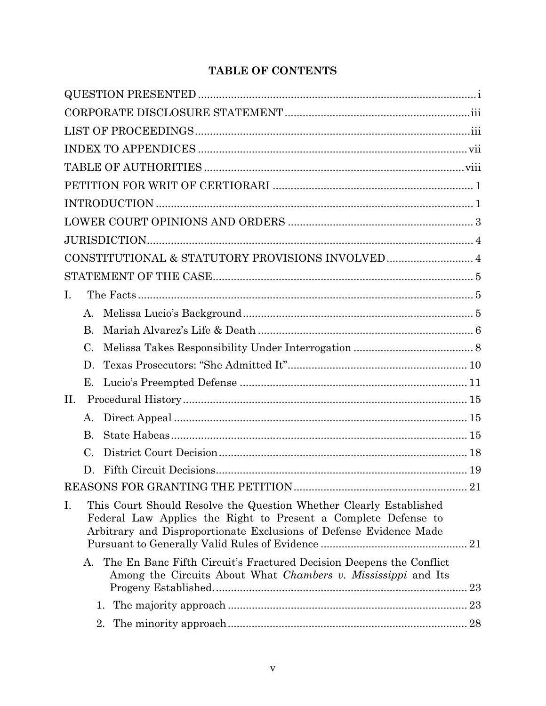# **TABLE OF CONTENTS**

| $I_{\cdot}$ |           |                                                                                                                                                                                                            |     |
|-------------|-----------|------------------------------------------------------------------------------------------------------------------------------------------------------------------------------------------------------------|-----|
|             | A.        |                                                                                                                                                                                                            |     |
|             | <b>B.</b> |                                                                                                                                                                                                            |     |
|             | C.        |                                                                                                                                                                                                            |     |
|             | D.        |                                                                                                                                                                                                            |     |
|             | Е.        |                                                                                                                                                                                                            |     |
| II.         |           |                                                                                                                                                                                                            |     |
|             | A.        |                                                                                                                                                                                                            |     |
|             | B.        |                                                                                                                                                                                                            |     |
|             | C.        |                                                                                                                                                                                                            |     |
|             | D.        |                                                                                                                                                                                                            |     |
|             |           |                                                                                                                                                                                                            | .21 |
| I.          |           | This Court Should Resolve the Question Whether Clearly Established<br>Federal Law Applies the Right to Present a Complete Defense to<br>Arbitrary and Disproportionate Exclusions of Defense Evidence Made |     |
|             | $A_{-}$   | The En Banc Fifth Circuit's Fractured Decision Deepens the Conflict<br>Among the Circuits About What Chambers v. Mississippi and Its                                                                       |     |
|             |           | 1.                                                                                                                                                                                                         |     |
|             |           |                                                                                                                                                                                                            |     |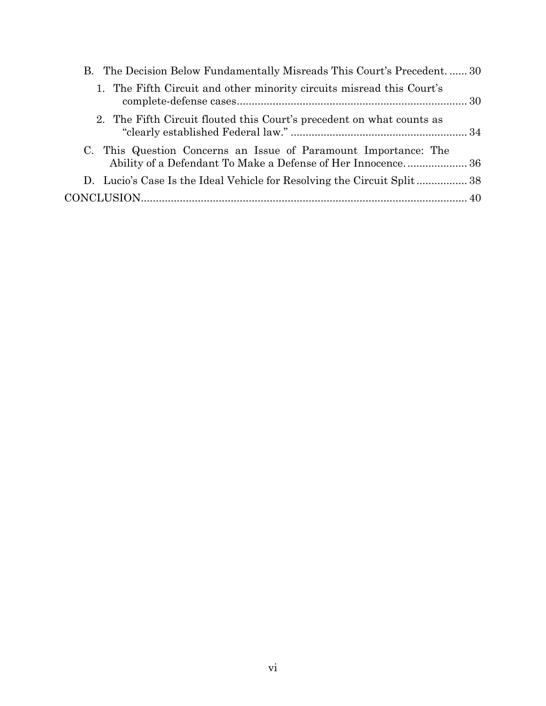| B. The Decision Below Fundamentally Misreads This Court's Precedent.  30                                                        |  |
|---------------------------------------------------------------------------------------------------------------------------------|--|
| 1. The Fifth Circuit and other minority circuits misread this Court's                                                           |  |
| 2. The Fifth Circuit flouted this Court's precedent on what counts as                                                           |  |
| C. This Question Concerns an Issue of Paramount Importance: The<br>Ability of a Defendant To Make a Defense of Her Innocence 36 |  |
| D. Lucio's Case Is the Ideal Vehicle for Resolving the Circuit Split38                                                          |  |
|                                                                                                                                 |  |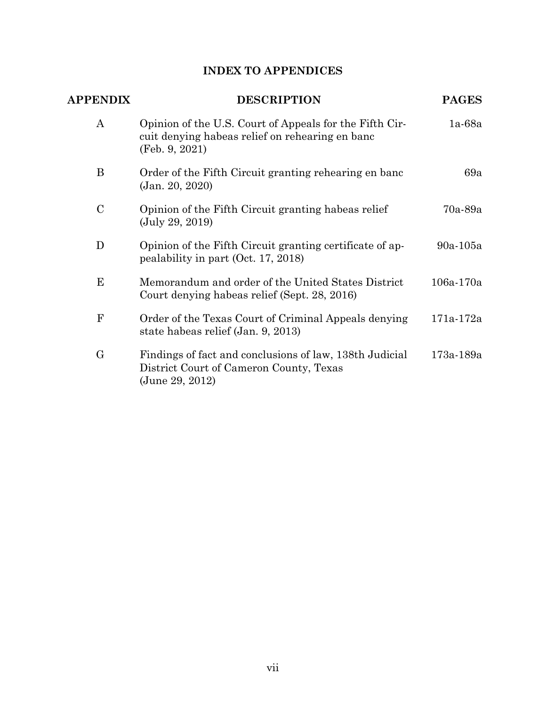# **INDEX TO APPENDICES**

| <b>APPENDIX</b>  | <b>DESCRIPTION</b>                                                                                                           | <b>PAGES</b>  |
|------------------|------------------------------------------------------------------------------------------------------------------------------|---------------|
| $\boldsymbol{A}$ | Opinion of the U.S. Court of Appeals for the Fifth Cir-<br>cuit denying habeas relief on rehearing en banc<br>(Feb. 9, 2021) | $1a-68a$      |
| B                | Order of the Fifth Circuit granting rehearing en banc<br>(Jan. 20, 2020)                                                     | 69a           |
| $\mathcal{C}$    | Opinion of the Fifth Circuit granting habeas relief<br>(July 29, 2019)                                                       | 70a-89a       |
| D                | Opinion of the Fifth Circuit granting certificate of ap-<br>pealability in part (Oct. 17, 2018)                              | 90a-105a      |
| E                | Memorandum and order of the United States District<br>Court denying habeas relief (Sept. 28, 2016)                           | $106a - 170a$ |
| F                | Order of the Texas Court of Criminal Appeals denying<br>state habeas relief (Jan. 9, 2013)                                   | 171a-172a     |
| $\rm G$          | Findings of fact and conclusions of law, 138th Judicial<br>District Court of Cameron County, Texas<br>(June 29, 2012)        | 173a-189a     |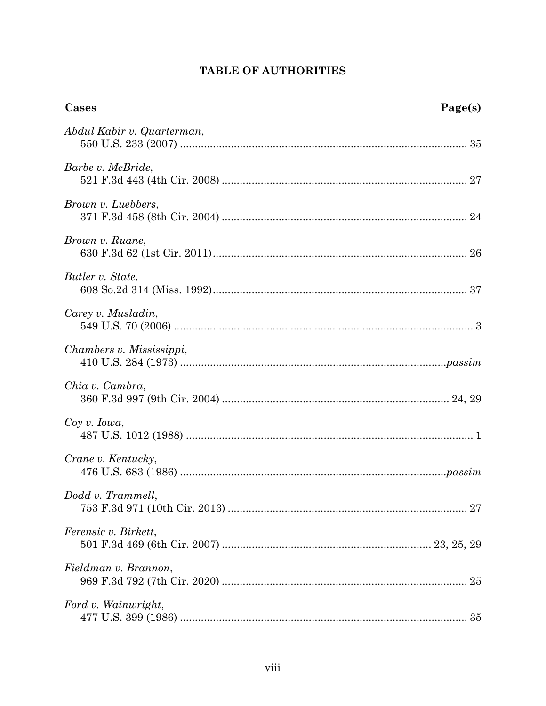# TABLE OF AUTHORITIES

| Cases<br>Page(s)           |  |
|----------------------------|--|
| Abdul Kabir v. Quarterman, |  |
| Barbe v. McBride,          |  |
| Brown v. Luebbers,         |  |
| Brown v. Ruane,            |  |
| Butler v. State,           |  |
| Carey v. Musladin,         |  |
| Chambers v. Mississippi,   |  |
| Chia v. Cambra,            |  |
| $Coy \, v. \, Iowa,$       |  |
| Crane v. Kentucky,         |  |
| $Dodd$ v. Trammell,        |  |
| Ferensic v. Birkett,       |  |
| Fieldman v. Brannon,       |  |
| Ford v. Wainwright,        |  |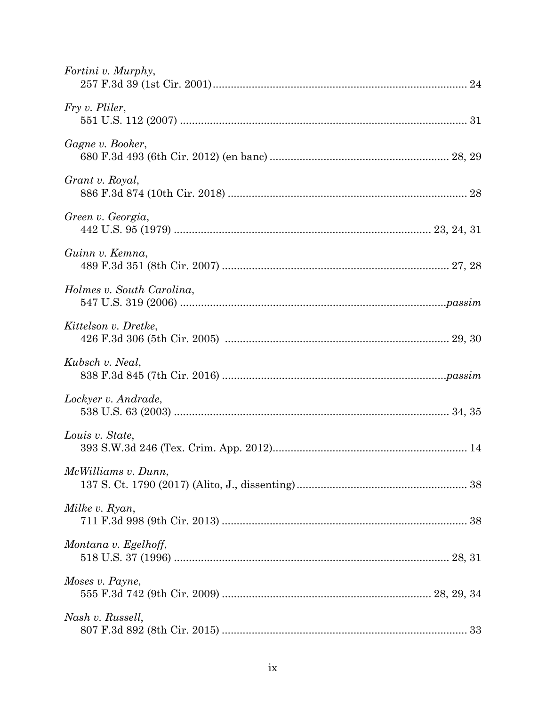| Fortini v. Murphy,        |  |
|---------------------------|--|
| Fry v. Pliler,            |  |
| Gagne v. Booker,          |  |
| Grant v. Royal,           |  |
| Green v. Georgia,         |  |
| Guinn v. Kemna,           |  |
| Holmes v. South Carolina, |  |
| Kittelson v. Dretke,      |  |
| Kubsch v. Neal,           |  |
| Lockyer v. Andrade,       |  |
| Louis v. State,           |  |
| McWilliams v. Dunn,       |  |
| Milke v. Ryan,            |  |
| Montana v. Egelhoff,      |  |
| Moses v. Payne,           |  |
| Nash v. Russell,          |  |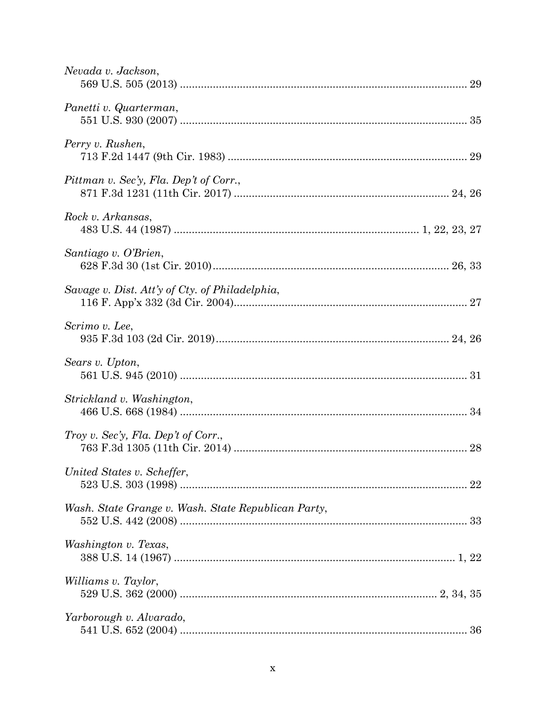| Nevada v. Jackson,                                  |
|-----------------------------------------------------|
| Panetti v. Quarterman,                              |
| Perry v. Rushen,                                    |
| Pittman v. Sec'y, Fla. Dep't of Corr.,              |
| Rock v. Arkansas,                                   |
| Santiago v. O'Brien,                                |
| Savage v. Dist. Att'y of Cty. of Philadelphia,      |
| Scrimo v. Lee,                                      |
| Sears v. Upton,                                     |
| Strickland v. Washington,                           |
| Troy v. Sec'y, Fla. Dep't of Corr.,                 |
| United States v. Scheffer,                          |
| Wash. State Grange v. Wash. State Republican Party, |
| Washington v. Texas,                                |
| Williams v. Taylor,                                 |
| Yarborough v. Alvarado,                             |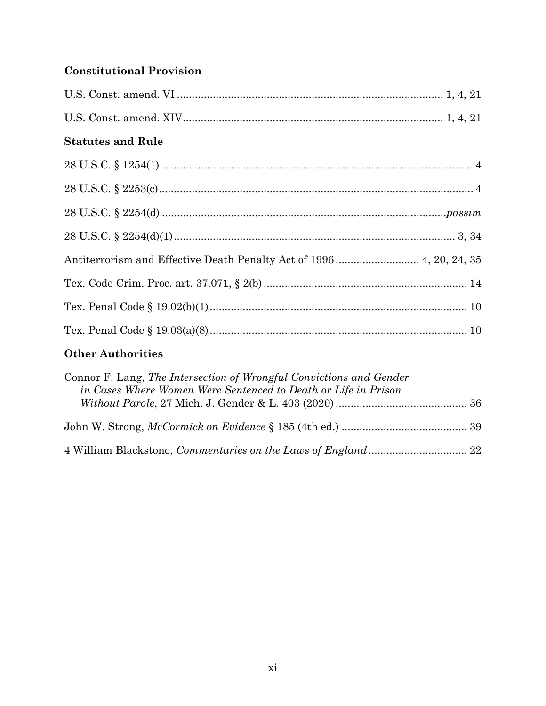# **Constitutional Provision**

| <b>Statutes and Rule</b>                                            |  |
|---------------------------------------------------------------------|--|
|                                                                     |  |
|                                                                     |  |
|                                                                     |  |
|                                                                     |  |
| Antiterrorism and Effective Death Penalty Act of 1996 4, 20, 24, 35 |  |
|                                                                     |  |
|                                                                     |  |
|                                                                     |  |
|                                                                     |  |

## **Other Authorities**

| Connor F. Lang, The Intersection of Wrongful Convictions and Gender<br>in Cases Where Women Were Sentenced to Death or Life in Prison |  |
|---------------------------------------------------------------------------------------------------------------------------------------|--|
|                                                                                                                                       |  |
|                                                                                                                                       |  |
|                                                                                                                                       |  |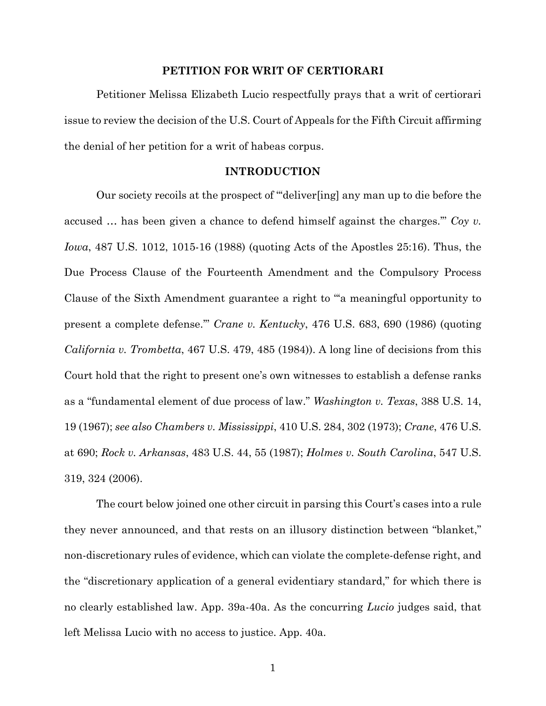#### **PETITION FOR WRIT OF CERTIORARI**

 Petitioner Melissa Elizabeth Lucio respectfully prays that a writ of certiorari issue to review the decision of the U.S. Court of Appeals for the Fifth Circuit affirming the denial of her petition for a writ of habeas corpus.

### **INTRODUCTION**

 Our society recoils at the prospect of "'deliver[ing] any man up to die before the accused … has been given a chance to defend himself against the charges.'" *Coy v. Iowa*, 487 U.S. 1012, 1015-16 (1988) (quoting Acts of the Apostles 25:16). Thus, the Due Process Clause of the Fourteenth Amendment and the Compulsory Process Clause of the Sixth Amendment guarantee a right to "'a meaningful opportunity to present a complete defense.'" *Crane v. Kentucky*, 476 U.S. 683, 690 (1986) (quoting *California v. Trombetta*, 467 U.S. 479, 485 (1984)). A long line of decisions from this Court hold that the right to present one's own witnesses to establish a defense ranks as a "fundamental element of due process of law." *Washington v. Texas*, 388 U.S. 14, 19 (1967); *see also Chambers v. Mississippi*, 410 U.S. 284, 302 (1973); *Crane*, 476 U.S. at 690; *Rock v. Arkansas*, 483 U.S. 44, 55 (1987); *Holmes v. South Carolina*, 547 U.S. 319, 324 (2006).

 The court below joined one other circuit in parsing this Court's cases into a rule they never announced, and that rests on an illusory distinction between "blanket," non-discretionary rules of evidence, which can violate the complete-defense right, and the "discretionary application of a general evidentiary standard," for which there is no clearly established law. App. 39a-40a. As the concurring *Lucio* judges said, that left Melissa Lucio with no access to justice. App. 40a.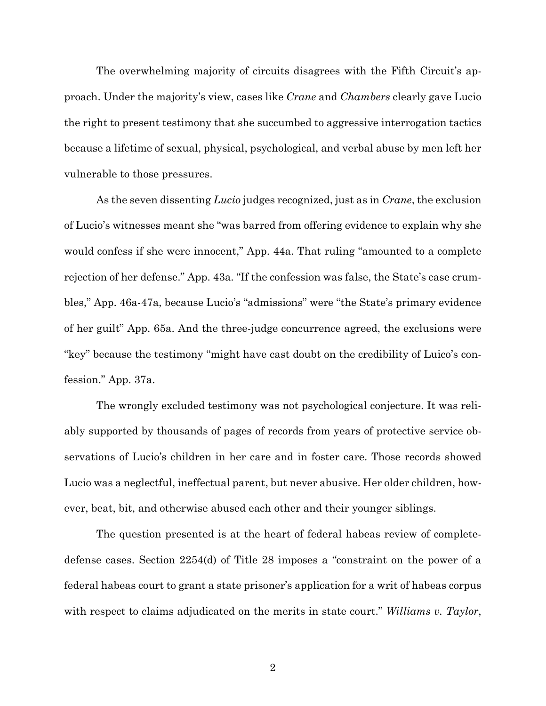The overwhelming majority of circuits disagrees with the Fifth Circuit's approach. Under the majority's view, cases like *Crane* and *Chambers* clearly gave Lucio the right to present testimony that she succumbed to aggressive interrogation tactics because a lifetime of sexual, physical, psychological, and verbal abuse by men left her vulnerable to those pressures.

 As the seven dissenting *Lucio* judges recognized, just as in *Crane*, the exclusion of Lucio's witnesses meant she "was barred from offering evidence to explain why she would confess if she were innocent," App. 44a. That ruling "amounted to a complete rejection of her defense." App. 43a. "If the confession was false, the State's case crumbles," App. 46a-47a, because Lucio's "admissions" were "the State's primary evidence of her guilt" App. 65a. And the three-judge concurrence agreed, the exclusions were "key" because the testimony "might have cast doubt on the credibility of Luico's confession." App. 37a.

 The wrongly excluded testimony was not psychological conjecture. It was reliably supported by thousands of pages of records from years of protective service observations of Lucio's children in her care and in foster care. Those records showed Lucio was a neglectful, ineffectual parent, but never abusive. Her older children, however, beat, bit, and otherwise abused each other and their younger siblings.

 The question presented is at the heart of federal habeas review of completedefense cases. Section 2254(d) of Title 28 imposes a "constraint on the power of a federal habeas court to grant a state prisoner's application for a writ of habeas corpus with respect to claims adjudicated on the merits in state court." *Williams v. Taylor*,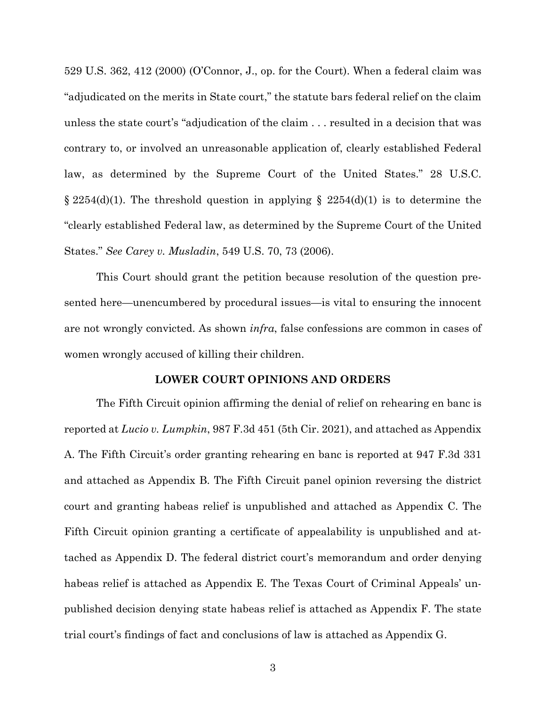529 U.S. 362, 412 (2000) (O'Connor, J., op. for the Court). When a federal claim was "adjudicated on the merits in State court," the statute bars federal relief on the claim unless the state court's "adjudication of the claim . . . resulted in a decision that was contrary to, or involved an unreasonable application of, clearly established Federal law, as determined by the Supreme Court of the United States." 28 U.S.C.  $\S 2254(d)(1)$ . The threshold question in applying  $\S 2254(d)(1)$  is to determine the "clearly established Federal law, as determined by the Supreme Court of the United States." *See Carey v. Musladin*, 549 U.S. 70, 73 (2006).

 This Court should grant the petition because resolution of the question presented here—unencumbered by procedural issues—is vital to ensuring the innocent are not wrongly convicted. As shown *infra*, false confessions are common in cases of women wrongly accused of killing their children.

#### **LOWER COURT OPINIONS AND ORDERS**

 The Fifth Circuit opinion affirming the denial of relief on rehearing en banc is reported at *Lucio v. Lumpkin*, 987 F.3d 451 (5th Cir. 2021), and attached as Appendix A. The Fifth Circuit's order granting rehearing en banc is reported at 947 F.3d 331 and attached as Appendix B. The Fifth Circuit panel opinion reversing the district court and granting habeas relief is unpublished and attached as Appendix C. The Fifth Circuit opinion granting a certificate of appealability is unpublished and attached as Appendix D. The federal district court's memorandum and order denying habeas relief is attached as Appendix E. The Texas Court of Criminal Appeals' unpublished decision denying state habeas relief is attached as Appendix F. The state trial court's findings of fact and conclusions of law is attached as Appendix G.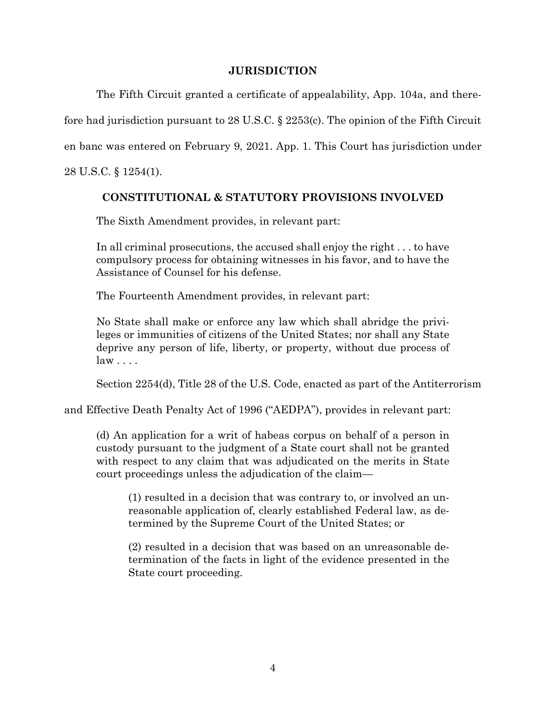## **JURISDICTION**

 The Fifth Circuit granted a certificate of appealability, App. 104a, and therefore had jurisdiction pursuant to 28 U.S.C. § 2253(c). The opinion of the Fifth Circuit en banc was entered on February 9, 2021. App. 1. This Court has jurisdiction under 28 U.S.C. § 1254(1).

## **CONSTITUTIONAL & STATUTORY PROVISIONS INVOLVED**

The Sixth Amendment provides, in relevant part:

In all criminal prosecutions, the accused shall enjoy the right . . . to have compulsory process for obtaining witnesses in his favor, and to have the Assistance of Counsel for his defense.

The Fourteenth Amendment provides, in relevant part:

No State shall make or enforce any law which shall abridge the privileges or immunities of citizens of the United States; nor shall any State deprive any person of life, liberty, or property, without due process of law . . . .

Section 2254(d), Title 28 of the U.S. Code, enacted as part of the Antiterrorism

and Effective Death Penalty Act of 1996 ("AEDPA"), provides in relevant part:

(d) An application for a writ of habeas corpus on behalf of a person in custody pursuant to the judgment of a State court shall not be granted with respect to any claim that was adjudicated on the merits in State court proceedings unless the adjudication of the claim—

(1) resulted in a decision that was contrary to, or involved an unreasonable application of, clearly established Federal law, as determined by the Supreme Court of the United States; or

(2) resulted in a decision that was based on an unreasonable determination of the facts in light of the evidence presented in the State court proceeding.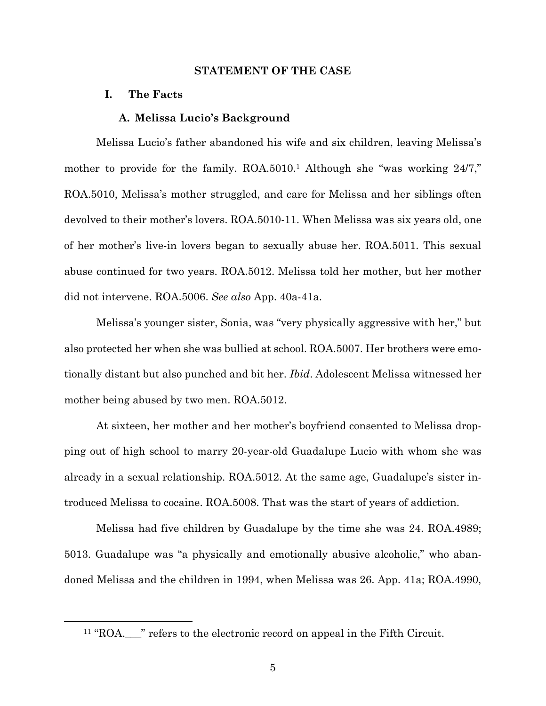#### **STATEMENT OF THE CASE**

#### **I. The Facts**

#### **A. Melissa Lucio's Background**

 Melissa Lucio's father abandoned his wife and six children, leaving Melissa's mother to provide for the family. ROA.5010.<sup>1</sup> Although she "was working 24/7," ROA.5010, Melissa's mother struggled, and care for Melissa and her siblings often devolved to their mother's lovers. ROA.5010-11. When Melissa was six years old, one of her mother's live-in lovers began to sexually abuse her. ROA.5011. This sexual abuse continued for two years. ROA.5012. Melissa told her mother, but her mother did not intervene. ROA.5006. *See also* App. 40a-41a.

 Melissa's younger sister, Sonia, was "very physically aggressive with her," but also protected her when she was bullied at school. ROA.5007. Her brothers were emotionally distant but also punched and bit her. *Ibid*. Adolescent Melissa witnessed her mother being abused by two men. ROA.5012.

 At sixteen, her mother and her mother's boyfriend consented to Melissa dropping out of high school to marry 20-year-old Guadalupe Lucio with whom she was already in a sexual relationship. ROA.5012. At the same age, Guadalupe's sister introduced Melissa to cocaine. ROA.5008. That was the start of years of addiction.

 Melissa had five children by Guadalupe by the time she was 24. ROA.4989; 5013. Guadalupe was "a physically and emotionally abusive alcoholic," who abandoned Melissa and the children in 1994, when Melissa was 26. App. 41a; ROA.4990,

<sup>&</sup>lt;sup>11</sup> "ROA.<sub>\_\_\_</sub>" refers to the electronic record on appeal in the Fifth Circuit.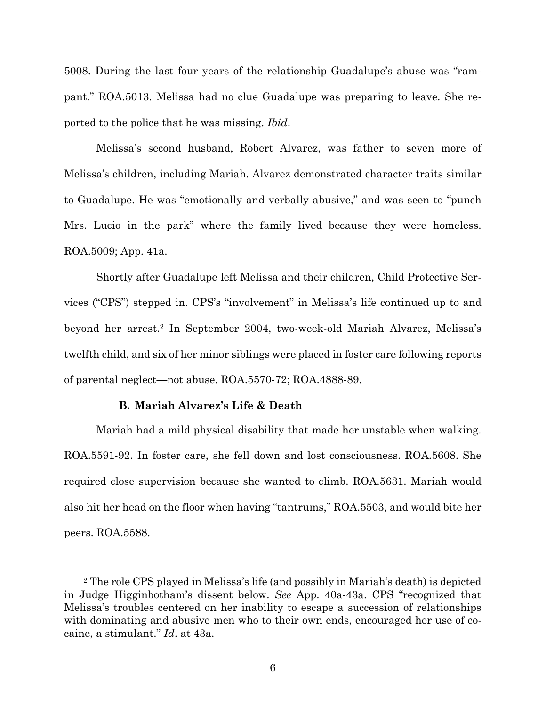5008. During the last four years of the relationship Guadalupe's abuse was "rampant." ROA.5013. Melissa had no clue Guadalupe was preparing to leave. She reported to the police that he was missing. *Ibid*.

 Melissa's second husband, Robert Alvarez, was father to seven more of Melissa's children, including Mariah. Alvarez demonstrated character traits similar to Guadalupe. He was "emotionally and verbally abusive," and was seen to "punch Mrs. Lucio in the park" where the family lived because they were homeless. ROA.5009; App. 41a.

 Shortly after Guadalupe left Melissa and their children, Child Protective Services ("CPS") stepped in. CPS's "involvement" in Melissa's life continued up to and beyond her arrest.2 In September 2004, two-week-old Mariah Alvarez, Melissa's twelfth child, and six of her minor siblings were placed in foster care following reports of parental neglect—not abuse. ROA.5570-72; ROA.4888-89.

### **B. Mariah Alvarez's Life & Death**

 Mariah had a mild physical disability that made her unstable when walking. ROA.5591-92. In foster care, she fell down and lost consciousness. ROA.5608. She required close supervision because she wanted to climb. ROA.5631. Mariah would also hit her head on the floor when having "tantrums," ROA.5503, and would bite her peers. ROA.5588.

<sup>2</sup> The role CPS played in Melissa's life (and possibly in Mariah's death) is depicted in Judge Higginbotham's dissent below. *See* App. 40a-43a. CPS "recognized that Melissa's troubles centered on her inability to escape a succession of relationships with dominating and abusive men who to their own ends, encouraged her use of cocaine, a stimulant." *Id*. at 43a.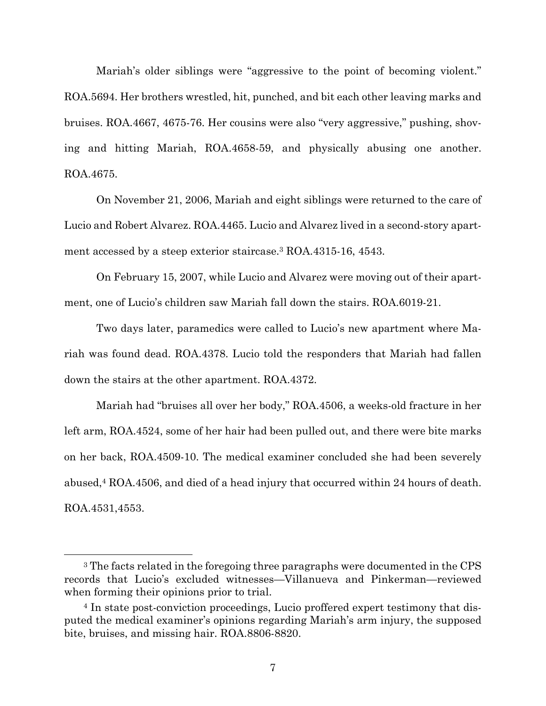Mariah's older siblings were "aggressive to the point of becoming violent." ROA.5694. Her brothers wrestled, hit, punched, and bit each other leaving marks and bruises. ROA.4667, 4675-76. Her cousins were also "very aggressive," pushing, shoving and hitting Mariah, ROA.4658-59, and physically abusing one another. ROA.4675.

 On November 21, 2006, Mariah and eight siblings were returned to the care of Lucio and Robert Alvarez. ROA.4465. Lucio and Alvarez lived in a second-story apartment accessed by a steep exterior staircase.3 ROA.4315-16, 4543.

 On February 15, 2007, while Lucio and Alvarez were moving out of their apartment, one of Lucio's children saw Mariah fall down the stairs. ROA.6019-21.

 Two days later, paramedics were called to Lucio's new apartment where Mariah was found dead. ROA.4378. Lucio told the responders that Mariah had fallen down the stairs at the other apartment. ROA.4372.

 Mariah had "bruises all over her body," ROA.4506, a weeks-old fracture in her left arm, ROA.4524, some of her hair had been pulled out, and there were bite marks on her back, ROA.4509-10. The medical examiner concluded she had been severely abused,4 ROA.4506, and died of a head injury that occurred within 24 hours of death. ROA.4531,4553.

<sup>&</sup>lt;sup>3</sup> The facts related in the foregoing three paragraphs were documented in the CPS records that Lucio's excluded witnesses—Villanueva and Pinkerman—reviewed when forming their opinions prior to trial.

<sup>4</sup> In state post-conviction proceedings, Lucio proffered expert testimony that disputed the medical examiner's opinions regarding Mariah's arm injury, the supposed bite, bruises, and missing hair. ROA.8806-8820.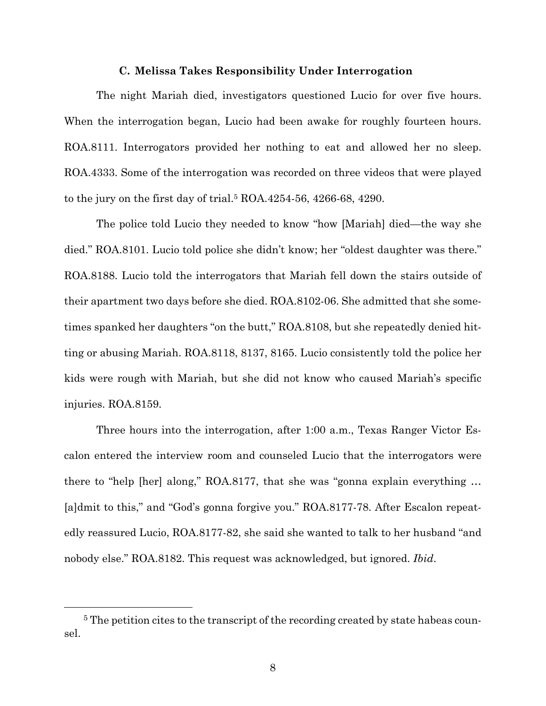#### **C. Melissa Takes Responsibility Under Interrogation**

The night Mariah died, investigators questioned Lucio for over five hours. When the interrogation began, Lucio had been awake for roughly fourteen hours. ROA.8111. Interrogators provided her nothing to eat and allowed her no sleep. ROA.4333. Some of the interrogation was recorded on three videos that were played to the jury on the first day of trial.5 ROA.4254-56, 4266-68, 4290.

 The police told Lucio they needed to know "how [Mariah] died—the way she died." ROA.8101. Lucio told police she didn't know; her "oldest daughter was there." ROA.8188. Lucio told the interrogators that Mariah fell down the stairs outside of their apartment two days before she died. ROA.8102-06. She admitted that she sometimes spanked her daughters "on the butt," ROA.8108, but she repeatedly denied hitting or abusing Mariah. ROA.8118, 8137, 8165. Lucio consistently told the police her kids were rough with Mariah, but she did not know who caused Mariah's specific injuries. ROA.8159.

 Three hours into the interrogation, after 1:00 a.m., Texas Ranger Victor Escalon entered the interview room and counseled Lucio that the interrogators were there to "help [her] along," ROA.8177, that she was "gonna explain everything … [a]dmit to this," and "God's gonna forgive you." ROA.8177-78. After Escalon repeatedly reassured Lucio, ROA.8177-82, she said she wanted to talk to her husband "and nobody else." ROA.8182. This request was acknowledged, but ignored. *Ibid*.

<sup>&</sup>lt;sup>5</sup> The petition cites to the transcript of the recording created by state habeas counsel.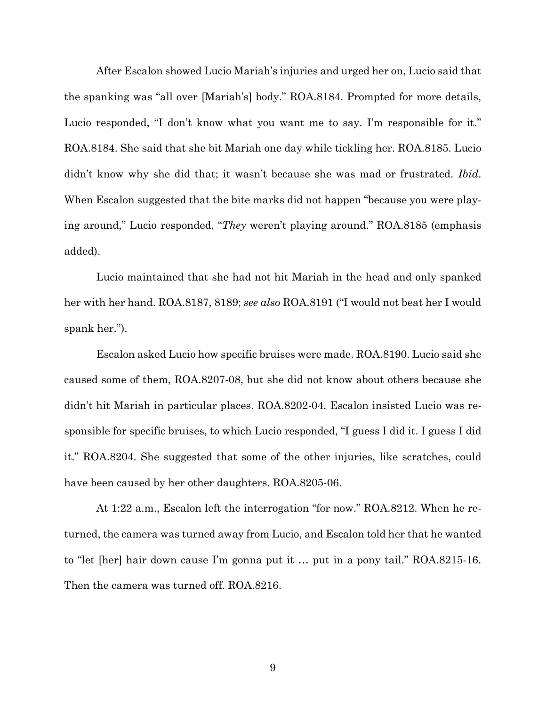After Escalon showed Lucio Mariah's injuries and urged her on, Lucio said that the spanking was "all over [Mariah's] body." ROA.8184. Prompted for more details, Lucio responded, "I don't know what you want me to say. I'm responsible for it." ROA.8184. She said that she bit Mariah one day while tickling her. ROA.8185. Lucio didn't know why she did that; it wasn't because she was mad or frustrated. *Ibid*. When Escalon suggested that the bite marks did not happen "because you were playing around," Lucio responded, "*They* weren't playing around." ROA.8185 (emphasis added).

 Lucio maintained that she had not hit Mariah in the head and only spanked her with her hand. ROA.8187, 8189; *see also* ROA.8191 ("I would not beat her I would spank her.").

 Escalon asked Lucio how specific bruises were made. ROA.8190. Lucio said she caused some of them, ROA.8207-08, but she did not know about others because she didn't hit Mariah in particular places. ROA.8202-04. Escalon insisted Lucio was responsible for specific bruises, to which Lucio responded, "I guess I did it. I guess I did it." ROA.8204. She suggested that some of the other injuries, like scratches, could have been caused by her other daughters. ROA.8205-06.

 At 1:22 a.m., Escalon left the interrogation "for now." ROA.8212. When he returned, the camera was turned away from Lucio, and Escalon told her that he wanted to "let [her] hair down cause I'm gonna put it … put in a pony tail." ROA.8215-16. Then the camera was turned off. ROA.8216.

9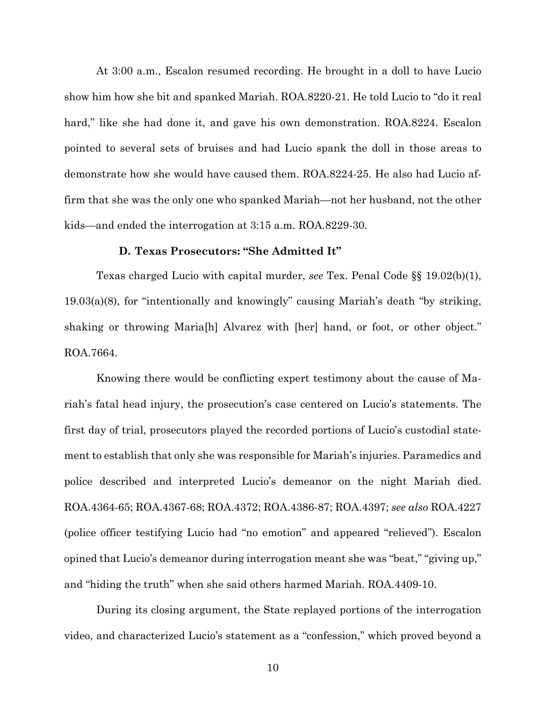At 3:00 a.m., Escalon resumed recording. He brought in a doll to have Lucio show him how she bit and spanked Mariah. ROA.8220-21. He told Lucio to "do it real hard," like she had done it, and gave his own demonstration. ROA.8224. Escalon pointed to several sets of bruises and had Lucio spank the doll in those areas to demonstrate how she would have caused them. ROA.8224-25. He also had Lucio affirm that she was the only one who spanked Mariah—not her husband, not the other kids—and ended the interrogation at 3:15 a.m. ROA.8229-30.

#### **D. Texas Prosecutors: "She Admitted It"**

 Texas charged Lucio with capital murder, *see* Tex. Penal Code §§ 19.02(b)(1), 19.03(a)(8), for "intentionally and knowingly" causing Mariah's death "by striking, shaking or throwing Maria[h] Alvarez with [her] hand, or foot, or other object." ROA.7664.

 Knowing there would be conflicting expert testimony about the cause of Mariah's fatal head injury, the prosecution's case centered on Lucio's statements. The first day of trial, prosecutors played the recorded portions of Lucio's custodial statement to establish that only she was responsible for Mariah's injuries. Paramedics and police described and interpreted Lucio's demeanor on the night Mariah died. ROA.4364-65; ROA.4367-68; ROA.4372; ROA.4386-87; ROA.4397; *see also* ROA.4227 (police officer testifying Lucio had "no emotion" and appeared "relieved"). Escalon opined that Lucio's demeanor during interrogation meant she was "beat," "giving up," and "hiding the truth" when she said others harmed Mariah. ROA.4409-10.

 During its closing argument, the State replayed portions of the interrogation video, and characterized Lucio's statement as a "confession," which proved beyond a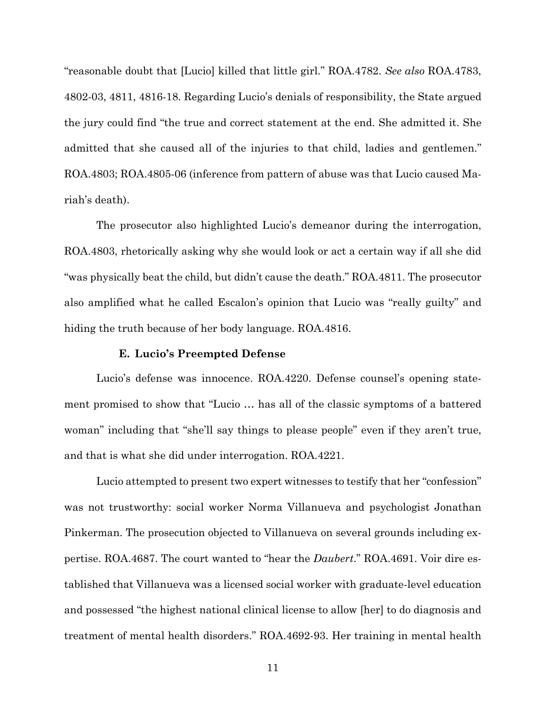"reasonable doubt that [Lucio] killed that little girl." ROA.4782. *See also* ROA.4783, 4802-03, 4811, 4816-18. Regarding Lucio's denials of responsibility, the State argued the jury could find "the true and correct statement at the end. She admitted it. She admitted that she caused all of the injuries to that child, ladies and gentlemen." ROA.4803; ROA.4805-06 (inference from pattern of abuse was that Lucio caused Mariah's death).

 The prosecutor also highlighted Lucio's demeanor during the interrogation, ROA.4803, rhetorically asking why she would look or act a certain way if all she did "was physically beat the child, but didn't cause the death." ROA.4811. The prosecutor also amplified what he called Escalon's opinion that Lucio was "really guilty" and hiding the truth because of her body language. ROA.4816.

#### **E. Lucio's Preempted Defense**

 Lucio's defense was innocence. ROA.4220. Defense counsel's opening statement promised to show that "Lucio … has all of the classic symptoms of a battered woman" including that "she'll say things to please people" even if they aren't true, and that is what she did under interrogation. ROA.4221.

 Lucio attempted to present two expert witnesses to testify that her "confession" was not trustworthy: social worker Norma Villanueva and psychologist Jonathan Pinkerman. The prosecution objected to Villanueva on several grounds including expertise. ROA.4687. The court wanted to "hear the *Daubert*." ROA.4691. Voir dire established that Villanueva was a licensed social worker with graduate-level education and possessed "the highest national clinical license to allow [her] to do diagnosis and treatment of mental health disorders." ROA.4692-93. Her training in mental health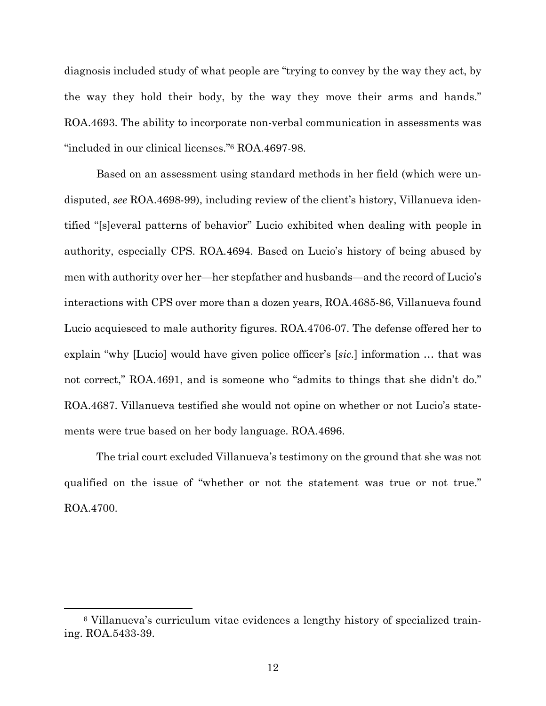diagnosis included study of what people are "trying to convey by the way they act, by the way they hold their body, by the way they move their arms and hands." ROA.4693. The ability to incorporate non-verbal communication in assessments was "included in our clinical licenses."6 ROA.4697-98.

 Based on an assessment using standard methods in her field (which were undisputed, *see* ROA.4698-99), including review of the client's history, Villanueva identified "[s]everal patterns of behavior" Lucio exhibited when dealing with people in authority, especially CPS. ROA.4694. Based on Lucio's history of being abused by men with authority over her—her stepfather and husbands—and the record of Lucio's interactions with CPS over more than a dozen years, ROA.4685-86, Villanueva found Lucio acquiesced to male authority figures. ROA.4706-07. The defense offered her to explain "why [Lucio] would have given police officer's [*sic.*] information … that was not correct," ROA.4691, and is someone who "admits to things that she didn't do." ROA.4687. Villanueva testified she would not opine on whether or not Lucio's statements were true based on her body language. ROA.4696.

 The trial court excluded Villanueva's testimony on the ground that she was not qualified on the issue of "whether or not the statement was true or not true." ROA.4700.

<sup>6</sup> Villanueva's curriculum vitae evidences a lengthy history of specialized training. ROA.5433-39.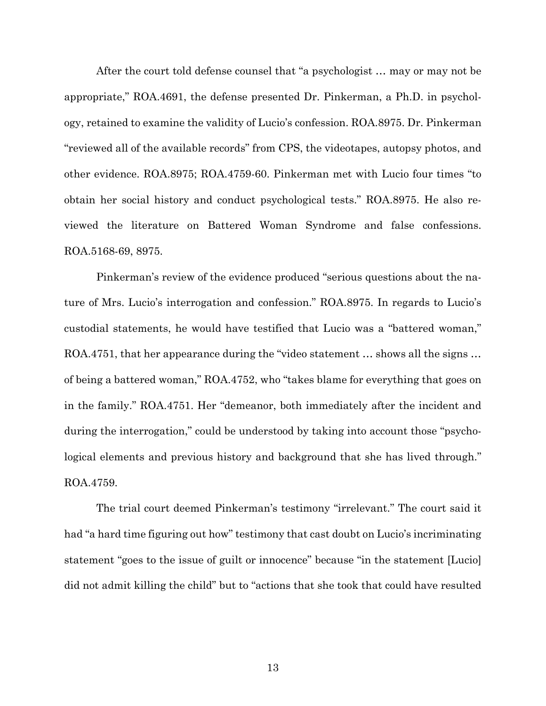After the court told defense counsel that "a psychologist … may or may not be appropriate," ROA.4691, the defense presented Dr. Pinkerman, a Ph.D. in psychology, retained to examine the validity of Lucio's confession. ROA.8975. Dr. Pinkerman "reviewed all of the available records" from CPS, the videotapes, autopsy photos, and other evidence. ROA.8975; ROA.4759-60. Pinkerman met with Lucio four times "to obtain her social history and conduct psychological tests." ROA.8975. He also reviewed the literature on Battered Woman Syndrome and false confessions. ROA.5168-69, 8975.

 Pinkerman's review of the evidence produced "serious questions about the nature of Mrs. Lucio's interrogation and confession." ROA.8975. In regards to Lucio's custodial statements, he would have testified that Lucio was a "battered woman," ROA.4751, that her appearance during the "video statement … shows all the signs … of being a battered woman," ROA.4752, who "takes blame for everything that goes on in the family." ROA.4751. Her "demeanor, both immediately after the incident and during the interrogation," could be understood by taking into account those "psychological elements and previous history and background that she has lived through." ROA.4759.

 The trial court deemed Pinkerman's testimony "irrelevant." The court said it had "a hard time figuring out how" testimony that cast doubt on Lucio's incriminating statement "goes to the issue of guilt or innocence" because "in the statement [Lucio] did not admit killing the child" but to "actions that she took that could have resulted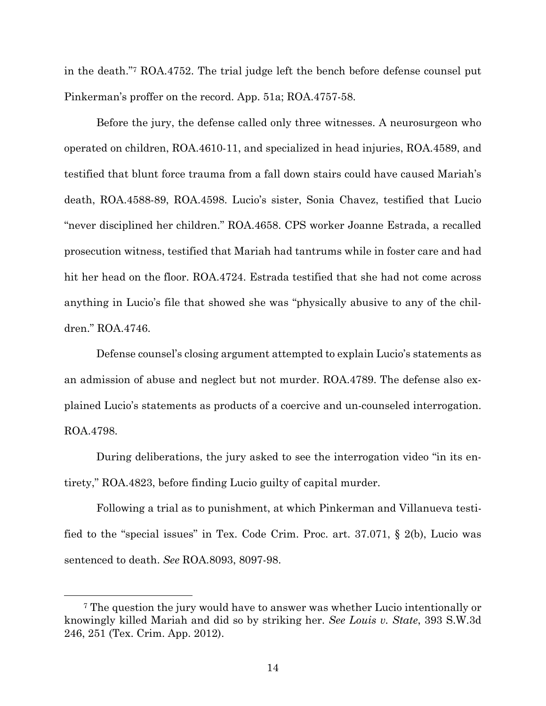in the death."7 ROA.4752. The trial judge left the bench before defense counsel put Pinkerman's proffer on the record. App. 51a; ROA.4757-58.

 Before the jury, the defense called only three witnesses. A neurosurgeon who operated on children, ROA.4610-11, and specialized in head injuries, ROA.4589, and testified that blunt force trauma from a fall down stairs could have caused Mariah's death, ROA.4588-89, ROA.4598. Lucio's sister, Sonia Chavez, testified that Lucio "never disciplined her children." ROA.4658. CPS worker Joanne Estrada, a recalled prosecution witness, testified that Mariah had tantrums while in foster care and had hit her head on the floor. ROA.4724. Estrada testified that she had not come across anything in Lucio's file that showed she was "physically abusive to any of the children." ROA.4746.

 Defense counsel's closing argument attempted to explain Lucio's statements as an admission of abuse and neglect but not murder. ROA.4789. The defense also explained Lucio's statements as products of a coercive and un-counseled interrogation. ROA.4798.

 During deliberations, the jury asked to see the interrogation video "in its entirety," ROA.4823, before finding Lucio guilty of capital murder.

 Following a trial as to punishment, at which Pinkerman and Villanueva testified to the "special issues" in Tex. Code Crim. Proc. art. 37.071, § 2(b), Lucio was sentenced to death. *See* ROA.8093, 8097-98.

<sup>7</sup> The question the jury would have to answer was whether Lucio intentionally or knowingly killed Mariah and did so by striking her. *See Louis v. State*, 393 S.W.3d 246, 251 (Tex. Crim. App. 2012).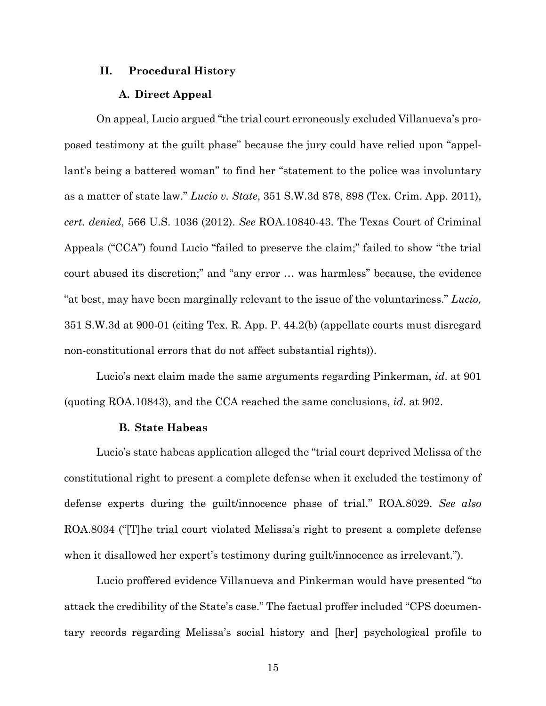#### **II. Procedural History**

#### **A. Direct Appeal**

 On appeal, Lucio argued "the trial court erroneously excluded Villanueva's proposed testimony at the guilt phase" because the jury could have relied upon "appellant's being a battered woman" to find her "statement to the police was involuntary as a matter of state law." *Lucio v. State*, 351 S.W.3d 878, 898 (Tex. Crim. App. 2011), *cert. denied*, 566 U.S. 1036 (2012). *See* ROA.10840-43. The Texas Court of Criminal Appeals ("CCA") found Lucio "failed to preserve the claim;" failed to show "the trial court abused its discretion;" and "any error … was harmless" because, the evidence "at best, may have been marginally relevant to the issue of the voluntariness." *Lucio,* 351 S.W.3d at 900-01 (citing Tex. R. App. P. 44.2(b) (appellate courts must disregard non-constitutional errors that do not affect substantial rights)).

 Lucio's next claim made the same arguments regarding Pinkerman, *id*. at 901 (quoting ROA.10843), and the CCA reached the same conclusions, *id*. at 902.

### **B. State Habeas**

 Lucio's state habeas application alleged the "trial court deprived Melissa of the constitutional right to present a complete defense when it excluded the testimony of defense experts during the guilt/innocence phase of trial." ROA.8029. *See also* ROA.8034 ("[T]he trial court violated Melissa's right to present a complete defense when it disallowed her expert's testimony during guilt/innocence as irrelevant.").

 Lucio proffered evidence Villanueva and Pinkerman would have presented "to attack the credibility of the State's case." The factual proffer included "CPS documentary records regarding Melissa's social history and [her] psychological profile to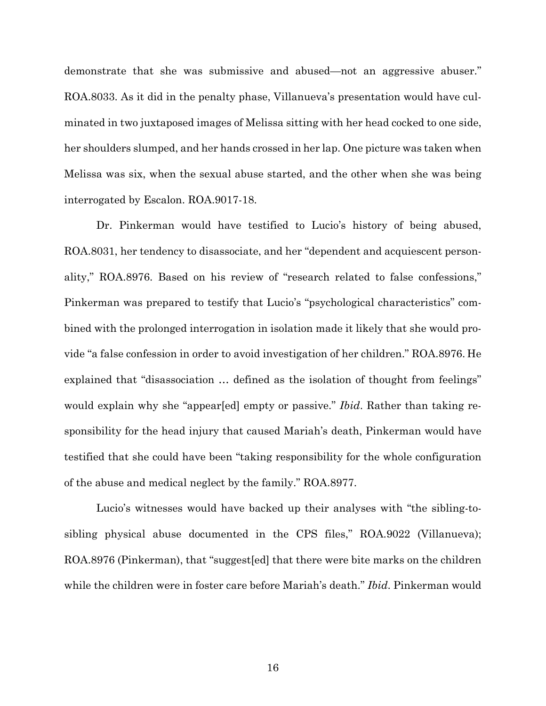demonstrate that she was submissive and abused—not an aggressive abuser." ROA.8033. As it did in the penalty phase, Villanueva's presentation would have culminated in two juxtaposed images of Melissa sitting with her head cocked to one side, her shoulders slumped, and her hands crossed in her lap. One picture was taken when Melissa was six, when the sexual abuse started, and the other when she was being interrogated by Escalon. ROA.9017-18.

 Dr. Pinkerman would have testified to Lucio's history of being abused, ROA.8031, her tendency to disassociate, and her "dependent and acquiescent personality," ROA.8976. Based on his review of "research related to false confessions," Pinkerman was prepared to testify that Lucio's "psychological characteristics" combined with the prolonged interrogation in isolation made it likely that she would provide "a false confession in order to avoid investigation of her children." ROA.8976. He explained that "disassociation … defined as the isolation of thought from feelings" would explain why she "appear[ed] empty or passive." *Ibid*. Rather than taking responsibility for the head injury that caused Mariah's death, Pinkerman would have testified that she could have been "taking responsibility for the whole configuration of the abuse and medical neglect by the family." ROA.8977.

 Lucio's witnesses would have backed up their analyses with "the sibling-tosibling physical abuse documented in the CPS files," ROA.9022 (Villanueva); ROA.8976 (Pinkerman), that "suggest[ed] that there were bite marks on the children while the children were in foster care before Mariah's death." *Ibid*. Pinkerman would

16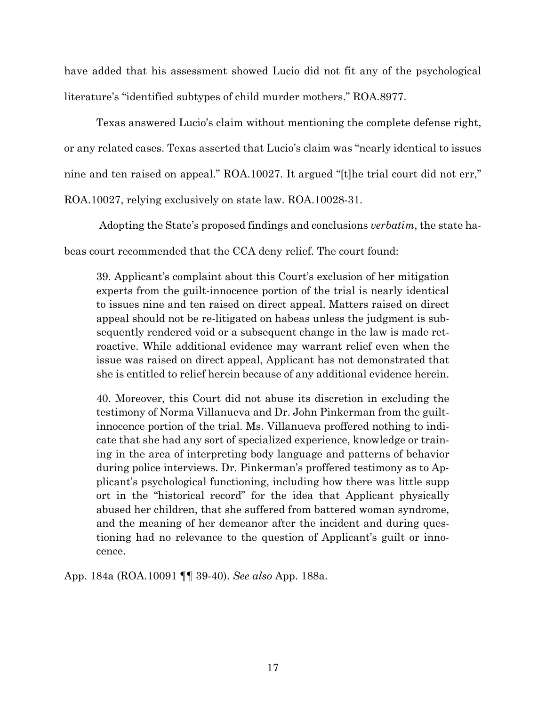have added that his assessment showed Lucio did not fit any of the psychological literature's "identified subtypes of child murder mothers." ROA.8977.

 Texas answered Lucio's claim without mentioning the complete defense right, or any related cases. Texas asserted that Lucio's claim was "nearly identical to issues nine and ten raised on appeal." ROA.10027. It argued "[t]he trial court did not err," ROA.10027, relying exclusively on state law. ROA.10028-31.

Adopting the State's proposed findings and conclusions *verbatim*, the state ha-

beas court recommended that the CCA deny relief. The court found:

39. Applicant's complaint about this Court's exclusion of her mitigation experts from the guilt-innocence portion of the trial is nearly identical to issues nine and ten raised on direct appeal. Matters raised on direct appeal should not be re-litigated on habeas unless the judgment is subsequently rendered void or a subsequent change in the law is made retroactive. While additional evidence may warrant relief even when the issue was raised on direct appeal, Applicant has not demonstrated that she is entitled to relief herein because of any additional evidence herein.

40. Moreover, this Court did not abuse its discretion in excluding the testimony of Norma Villanueva and Dr. John Pinkerman from the guiltinnocence portion of the trial. Ms. Villanueva proffered nothing to indicate that she had any sort of specialized experience, knowledge or training in the area of interpreting body language and patterns of behavior during police interviews. Dr. Pinkerman's proffered testimony as to Applicant's psychological functioning, including how there was little supp ort in the "historical record" for the idea that Applicant physically abused her children, that she suffered from battered woman syndrome, and the meaning of her demeanor after the incident and during questioning had no relevance to the question of Applicant's guilt or innocence.

App. 184a (ROA.10091 ¶¶ 39-40). *See also* App. 188a.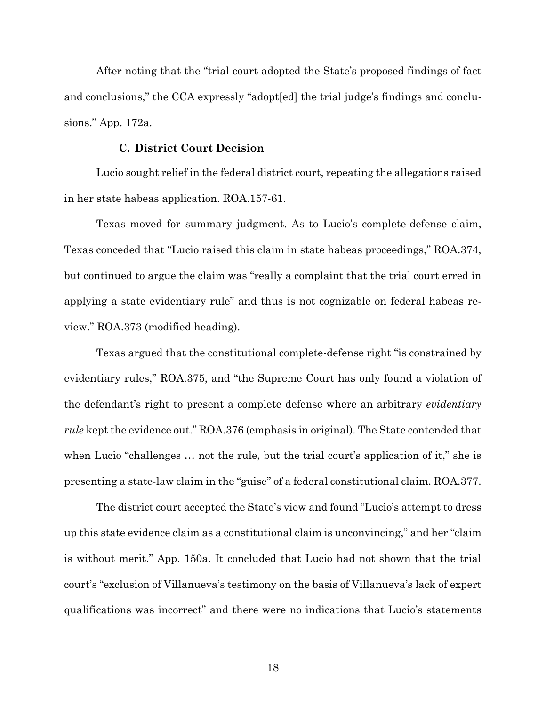After noting that the "trial court adopted the State's proposed findings of fact and conclusions," the CCA expressly "adopt[ed] the trial judge's findings and conclusions." App. 172a.

### **C. District Court Decision**

 Lucio sought relief in the federal district court, repeating the allegations raised in her state habeas application. ROA.157-61.

 Texas moved for summary judgment. As to Lucio's complete-defense claim, Texas conceded that "Lucio raised this claim in state habeas proceedings," ROA.374, but continued to argue the claim was "really a complaint that the trial court erred in applying a state evidentiary rule" and thus is not cognizable on federal habeas review." ROA.373 (modified heading).

 Texas argued that the constitutional complete-defense right "is constrained by evidentiary rules," ROA.375, and "the Supreme Court has only found a violation of the defendant's right to present a complete defense where an arbitrary *evidentiary rule* kept the evidence out." ROA.376 (emphasis in original). The State contended that when Lucio "challenges ... not the rule, but the trial court's application of it," she is presenting a state-law claim in the "guise" of a federal constitutional claim. ROA.377.

 The district court accepted the State's view and found "Lucio's attempt to dress up this state evidence claim as a constitutional claim is unconvincing," and her "claim is without merit." App. 150a. It concluded that Lucio had not shown that the trial court's "exclusion of Villanueva's testimony on the basis of Villanueva's lack of expert qualifications was incorrect" and there were no indications that Lucio's statements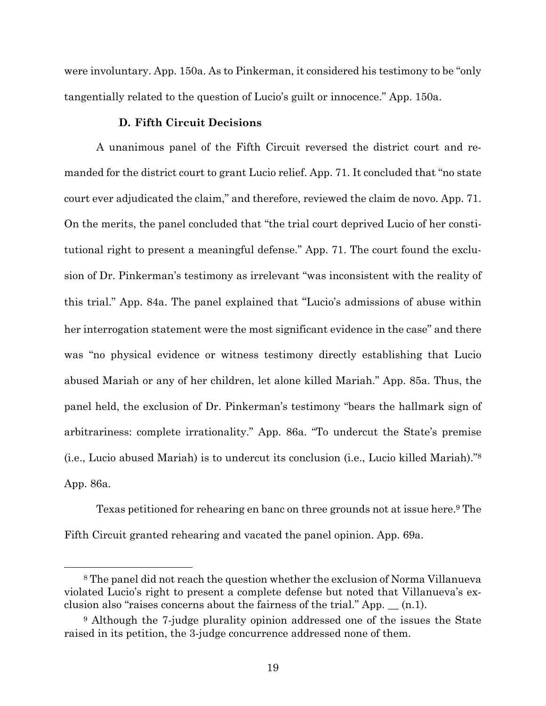were involuntary. App. 150a. As to Pinkerman, it considered his testimony to be "only tangentially related to the question of Lucio's guilt or innocence." App. 150a.

### **D. Fifth Circuit Decisions**

 A unanimous panel of the Fifth Circuit reversed the district court and remanded for the district court to grant Lucio relief. App. 71. It concluded that "no state court ever adjudicated the claim," and therefore, reviewed the claim de novo. App. 71. On the merits, the panel concluded that "the trial court deprived Lucio of her constitutional right to present a meaningful defense." App. 71. The court found the exclusion of Dr. Pinkerman's testimony as irrelevant "was inconsistent with the reality of this trial." App. 84a. The panel explained that "Lucio's admissions of abuse within her interrogation statement were the most significant evidence in the case" and there was "no physical evidence or witness testimony directly establishing that Lucio abused Mariah or any of her children, let alone killed Mariah." App. 85a. Thus, the panel held, the exclusion of Dr. Pinkerman's testimony "bears the hallmark sign of arbitrariness: complete irrationality." App. 86a. "To undercut the State's premise (i.e., Lucio abused Mariah) is to undercut its conclusion (i.e., Lucio killed Mariah)."8 App. 86a.

Texas petitioned for rehearing en banc on three grounds not at issue here.<sup>9</sup> The Fifth Circuit granted rehearing and vacated the panel opinion. App. 69a.

<sup>8</sup> The panel did not reach the question whether the exclusion of Norma Villanueva violated Lucio's right to present a complete defense but noted that Villanueva's exclusion also "raises concerns about the fairness of the trial." App.  $\_$  (n.1).

<sup>9</sup> Although the 7-judge plurality opinion addressed one of the issues the State raised in its petition, the 3-judge concurrence addressed none of them.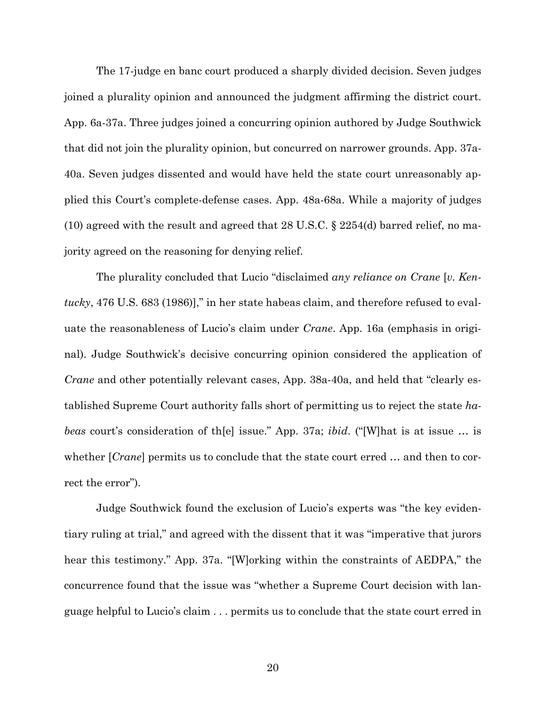The 17-judge en banc court produced a sharply divided decision. Seven judges joined a plurality opinion and announced the judgment affirming the district court. App. 6a-37a. Three judges joined a concurring opinion authored by Judge Southwick that did not join the plurality opinion, but concurred on narrower grounds. App. 37a-40a. Seven judges dissented and would have held the state court unreasonably applied this Court's complete-defense cases. App. 48a-68a. While a majority of judges (10) agreed with the result and agreed that 28 U.S.C. § 2254(d) barred relief, no majority agreed on the reasoning for denying relief.

 The plurality concluded that Lucio "disclaimed *any reliance on Crane* [*v. Kentucky*, 476 U.S. 683 (1986)]," in her state habeas claim, and therefore refused to evaluate the reasonableness of Lucio's claim under *Crane*. App. 16a (emphasis in original). Judge Southwick's decisive concurring opinion considered the application of *Crane* and other potentially relevant cases, App. 38a-40a, and held that "clearly established Supreme Court authority falls short of permitting us to reject the state *habeas* court's consideration of th[e] issue." App. 37a; *ibid*. ("[W]hat is at issue … is whether [*Crane*] permits us to conclude that the state court erred … and then to correct the error").

 Judge Southwick found the exclusion of Lucio's experts was "the key evidentiary ruling at trial," and agreed with the dissent that it was "imperative that jurors hear this testimony." App. 37a. "[W]orking within the constraints of AEDPA," the concurrence found that the issue was "whether a Supreme Court decision with language helpful to Lucio's claim . . . permits us to conclude that the state court erred in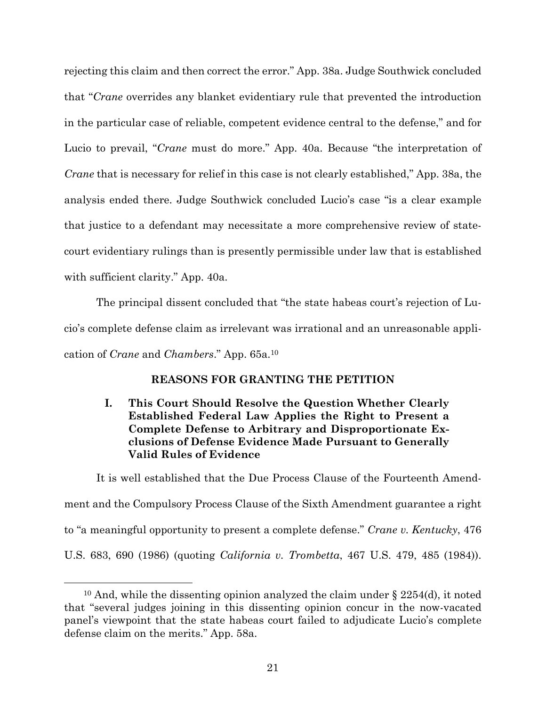rejecting this claim and then correct the error." App. 38a. Judge Southwick concluded that "*Crane* overrides any blanket evidentiary rule that prevented the introduction in the particular case of reliable, competent evidence central to the defense," and for Lucio to prevail, "*Crane* must do more." App. 40a. Because "the interpretation of *Crane* that is necessary for relief in this case is not clearly established," App. 38a, the analysis ended there. Judge Southwick concluded Lucio's case "is a clear example that justice to a defendant may necessitate a more comprehensive review of statecourt evidentiary rulings than is presently permissible under law that is established with sufficient clarity." App. 40a.

 The principal dissent concluded that "the state habeas court's rejection of Lucio's complete defense claim as irrelevant was irrational and an unreasonable application of *Crane* and *Chambers*." App. 65a.10

### **REASONS FOR GRANTING THE PETITION**

## **I. This Court Should Resolve the Question Whether Clearly Established Federal Law Applies the Right to Present a Complete Defense to Arbitrary and Disproportionate Exclusions of Defense Evidence Made Pursuant to Generally Valid Rules of Evidence**

 It is well established that the Due Process Clause of the Fourteenth Amendment and the Compulsory Process Clause of the Sixth Amendment guarantee a right to "a meaningful opportunity to present a complete defense." *Crane v. Kentucky*, 476 U.S. 683, 690 (1986) (quoting *California v. Trombetta*, 467 U.S. 479, 485 (1984)).

<sup>&</sup>lt;sup>10</sup> And, while the dissenting opinion analyzed the claim under  $\S 2254(d)$ , it noted that "several judges joining in this dissenting opinion concur in the now-vacated panel's viewpoint that the state habeas court failed to adjudicate Lucio's complete defense claim on the merits." App. 58a.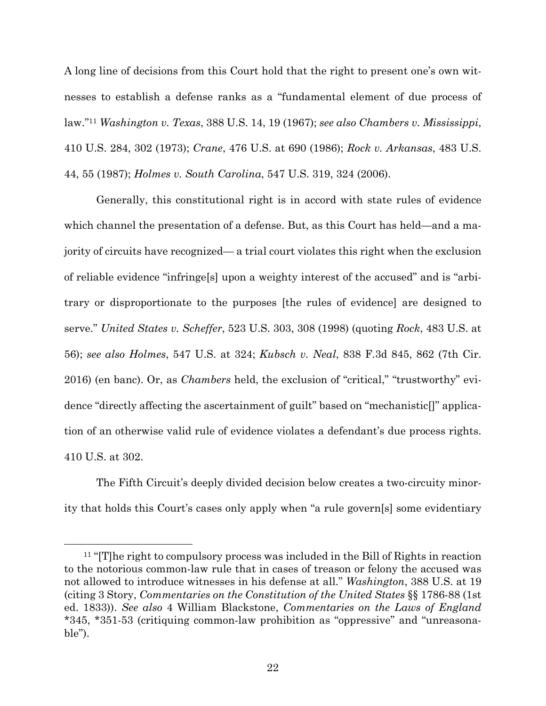A long line of decisions from this Court hold that the right to present one's own witnesses to establish a defense ranks as a "fundamental element of due process of law."11 *Washington v. Texas*, 388 U.S. 14, 19 (1967); *see also Chambers v. Mississippi*, 410 U.S. 284, 302 (1973); *Crane*, 476 U.S. at 690 (1986); *Rock v. Arkansas*, 483 U.S. 44, 55 (1987); *Holmes v. South Carolina*, 547 U.S. 319, 324 (2006).

 Generally, this constitutional right is in accord with state rules of evidence which channel the presentation of a defense. But, as this Court has held—and a majority of circuits have recognized— a trial court violates this right when the exclusion of reliable evidence "infringe[s] upon a weighty interest of the accused" and is "arbitrary or disproportionate to the purposes [the rules of evidence] are designed to serve." *United States v. Scheffer*, 523 U.S. 303, 308 (1998) (quoting *Rock*, 483 U.S. at 56); *see also Holmes*, 547 U.S. at 324; *Kubsch v. Neal*, 838 F.3d 845, 862 (7th Cir. 2016) (en banc). Or, as *Chambers* held, the exclusion of "critical," "trustworthy" evidence "directly affecting the ascertainment of guilt" based on "mechanistic[]" application of an otherwise valid rule of evidence violates a defendant's due process rights. 410 U.S. at 302.

 The Fifth Circuit's deeply divided decision below creates a two-circuity minority that holds this Court's cases only apply when "a rule govern[s] some evidentiary

<sup>11 &</sup>quot;[T]he right to compulsory process was included in the Bill of Rights in reaction to the notorious common-law rule that in cases of treason or felony the accused was not allowed to introduce witnesses in his defense at all." *Washington*, 388 U.S. at 19 (citing 3 Story, *Commentaries on the Constitution of the United States* §§ 1786-88 (1st ed. 1833)). *See also* 4 William Blackstone, *Commentaries on the Laws of England* \*345, \*351-53 (critiquing common-law prohibition as "oppressive" and "unreasonable").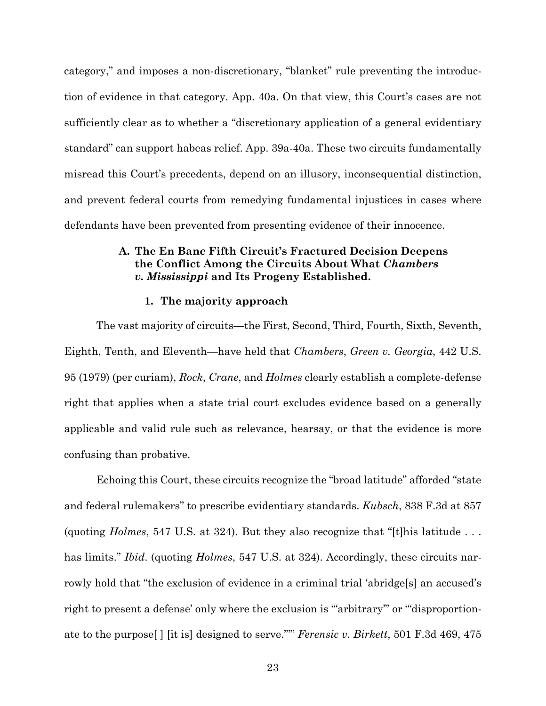category," and imposes a non-discretionary, "blanket" rule preventing the introduction of evidence in that category. App. 40a. On that view, this Court's cases are not sufficiently clear as to whether a "discretionary application of a general evidentiary standard" can support habeas relief. App. 39a-40a. These two circuits fundamentally misread this Court's precedents, depend on an illusory, inconsequential distinction, and prevent federal courts from remedying fundamental injustices in cases where defendants have been prevented from presenting evidence of their innocence.

## **A. The En Banc Fifth Circuit's Fractured Decision Deepens the Conflict Among the Circuits About What** *Chambers v. Mississippi* **and Its Progeny Established.**

#### **1. The majority approach**

 The vast majority of circuits—the First, Second, Third, Fourth, Sixth, Seventh, Eighth, Tenth, and Eleventh—have held that *Chambers*, *Green v. Georgia*, 442 U.S. 95 (1979) (per curiam), *Rock*, *Crane*, and *Holmes* clearly establish a complete-defense right that applies when a state trial court excludes evidence based on a generally applicable and valid rule such as relevance, hearsay, or that the evidence is more confusing than probative.

 Echoing this Court, these circuits recognize the "broad latitude" afforded "state and federal rulemakers" to prescribe evidentiary standards. *Kubsch*, 838 F.3d at 857 (quoting *Holmes*, 547 U.S. at 324). But they also recognize that "[t]his latitude . . . has limits." *Ibid*. (quoting *Holmes*, 547 U.S. at 324). Accordingly, these circuits narrowly hold that "the exclusion of evidence in a criminal trial 'abridge[s] an accused's right to present a defense' only where the exclusion is ""arbitrary" or ""disproportionate to the purpose[ ] [it is] designed to serve."'" *Ferensic v. Birkett*, 501 F.3d 469, 475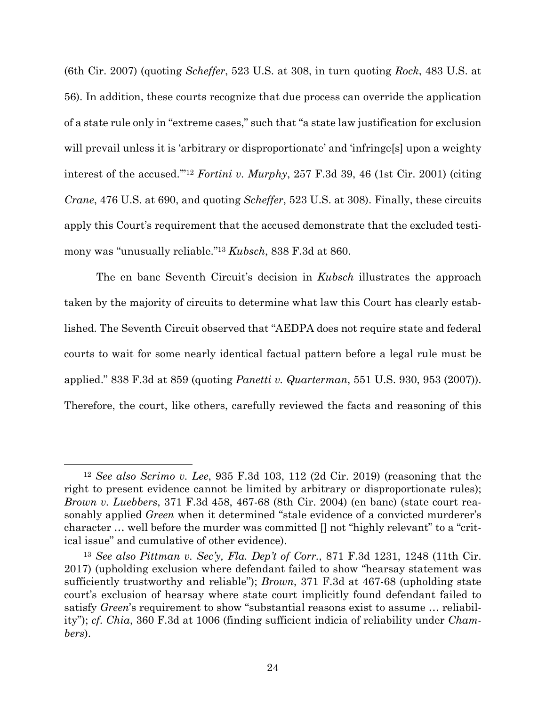(6th Cir. 2007) (quoting *Scheffer*, 523 U.S. at 308, in turn quoting *Rock*, 483 U.S. at 56). In addition, these courts recognize that due process can override the application of a state rule only in "extreme cases," such that "a state law justification for exclusion will prevail unless it is 'arbitrary or disproportionate' and 'infringe[s] upon a weighty interest of the accused.'"12 *Fortini v. Murphy*, 257 F.3d 39, 46 (1st Cir. 2001) (citing *Crane*, 476 U.S. at 690, and quoting *Scheffer*, 523 U.S. at 308). Finally, these circuits apply this Court's requirement that the accused demonstrate that the excluded testimony was "unusually reliable."13 *Kubsch*, 838 F.3d at 860.

 The en banc Seventh Circuit's decision in *Kubsch* illustrates the approach taken by the majority of circuits to determine what law this Court has clearly established. The Seventh Circuit observed that "AEDPA does not require state and federal courts to wait for some nearly identical factual pattern before a legal rule must be applied." 838 F.3d at 859 (quoting *Panetti v. Quarterman*, 551 U.S. 930, 953 (2007)). Therefore, the court, like others, carefully reviewed the facts and reasoning of this

<sup>12</sup> *See also Scrimo v. Lee*, 935 F.3d 103, 112 (2d Cir. 2019) (reasoning that the right to present evidence cannot be limited by arbitrary or disproportionate rules); *Brown v. Luebbers*, 371 F.3d 458, 467-68 (8th Cir. 2004) (en banc) (state court reasonably applied *Green* when it determined "stale evidence of a convicted murderer's character … well before the murder was committed [] not "highly relevant" to a "critical issue" and cumulative of other evidence).

<sup>13</sup> *See also Pittman v. Sec'y, Fla. Dep't of Corr.*, 871 F.3d 1231, 1248 (11th Cir. 2017) (upholding exclusion where defendant failed to show "hearsay statement was sufficiently trustworthy and reliable"); *Brown*, 371 F.3d at 467-68 (upholding state court's exclusion of hearsay where state court implicitly found defendant failed to satisfy *Green*'s requirement to show "substantial reasons exist to assume … reliability"); *cf*. *Chia*, 360 F.3d at 1006 (finding sufficient indicia of reliability under *Chambers*).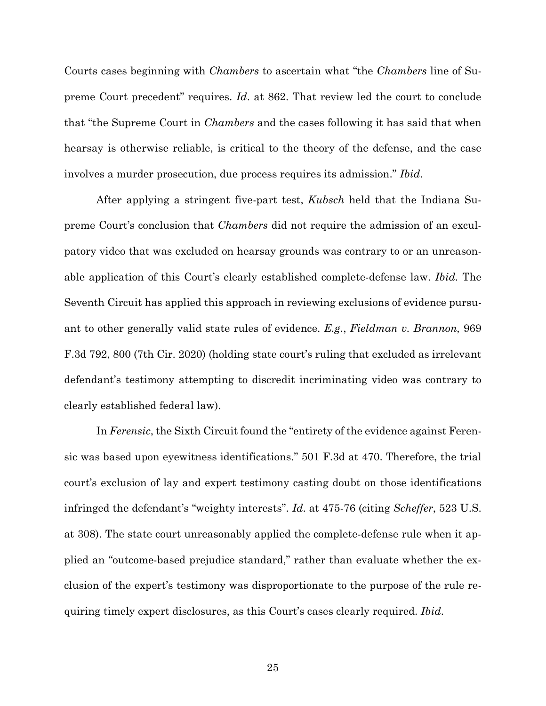Courts cases beginning with *Chambers* to ascertain what "the *Chambers* line of Supreme Court precedent" requires. *Id*. at 862. That review led the court to conclude that "the Supreme Court in *Chambers* and the cases following it has said that when hearsay is otherwise reliable, is critical to the theory of the defense, and the case involves a murder prosecution, due process requires its admission." *Ibid*.

 After applying a stringent five-part test, *Kubsch* held that the Indiana Supreme Court's conclusion that *Chambers* did not require the admission of an exculpatory video that was excluded on hearsay grounds was contrary to or an unreasonable application of this Court's clearly established complete-defense law. *Ibid.* The Seventh Circuit has applied this approach in reviewing exclusions of evidence pursuant to other generally valid state rules of evidence. *E.g.*, *Fieldman v. Brannon,* 969 F.3d 792, 800 (7th Cir. 2020) (holding state court's ruling that excluded as irrelevant defendant's testimony attempting to discredit incriminating video was contrary to clearly established federal law).

 In *Ferensic*, the Sixth Circuit found the "entirety of the evidence against Ferensic was based upon eyewitness identifications." 501 F.3d at 470. Therefore, the trial court's exclusion of lay and expert testimony casting doubt on those identifications infringed the defendant's "weighty interests". *Id*. at 475-76 (citing *Scheffer*, 523 U.S. at 308). The state court unreasonably applied the complete-defense rule when it applied an "outcome-based prejudice standard," rather than evaluate whether the exclusion of the expert's testimony was disproportionate to the purpose of the rule requiring timely expert disclosures, as this Court's cases clearly required. *Ibid*.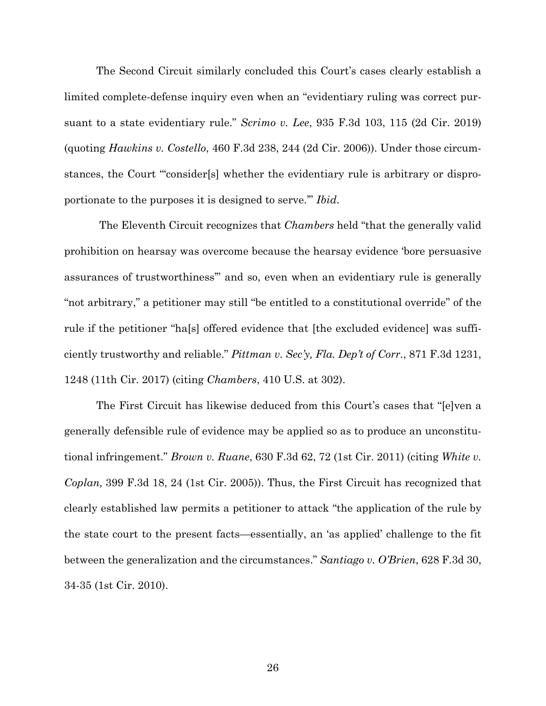The Second Circuit similarly concluded this Court's cases clearly establish a limited complete-defense inquiry even when an "evidentiary ruling was correct pursuant to a state evidentiary rule." *Scrimo v. Lee*, 935 F.3d 103, 115 (2d Cir. 2019) (quoting *Hawkins v. Costello*, 460 F.3d 238, 244 (2d Cir. 2006)). Under those circumstances, the Court "'consider[s] whether the evidentiary rule is arbitrary or disproportionate to the purposes it is designed to serve.'" *Ibid*.

 The Eleventh Circuit recognizes that *Chambers* held "that the generally valid prohibition on hearsay was overcome because the hearsay evidence 'bore persuasive assurances of trustworthiness'" and so, even when an evidentiary rule is generally "not arbitrary," a petitioner may still "be entitled to a constitutional override" of the rule if the petitioner "ha[s] offered evidence that [the excluded evidence] was sufficiently trustworthy and reliable." *Pittman v. Sec'y, Fla. Dep't of Corr.*, 871 F.3d 1231, 1248 (11th Cir. 2017) (citing *Chambers*, 410 U.S. at 302).

 The First Circuit has likewise deduced from this Court's cases that "[e]ven a generally defensible rule of evidence may be applied so as to produce an unconstitutional infringement." *Brown v. Ruane*, 630 F.3d 62, 72 (1st Cir. 2011) (citing *White v. Coplan,* 399 F.3d 18, 24 (1st Cir. 2005)). Thus, the First Circuit has recognized that clearly established law permits a petitioner to attack "the application of the rule by the state court to the present facts—essentially, an 'as applied' challenge to the fit between the generalization and the circumstances." *Santiago v. O'Brien*, 628 F.3d 30, 34-35 (1st Cir. 2010).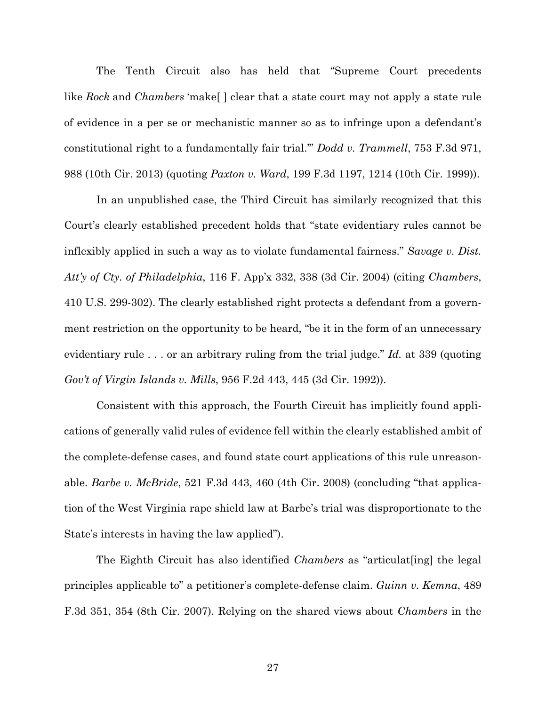The Tenth Circuit also has held that "Supreme Court precedents like *Rock* and *Chambers* 'make[ ] clear that a state court may not apply a state rule of evidence in a per se or mechanistic manner so as to infringe upon a defendant's constitutional right to a fundamentally fair trial.'" *Dodd v. Trammell*, 753 F.3d 971, 988 (10th Cir. 2013) (quoting *Paxton v. Ward*, 199 F.3d 1197, 1214 (10th Cir. 1999)).

 In an unpublished case, the Third Circuit has similarly recognized that this Court's clearly established precedent holds that "state evidentiary rules cannot be inflexibly applied in such a way as to violate fundamental fairness." *Savage v. Dist. Att'y of Cty. of Philadelphia*, 116 F. App'x 332, 338 (3d Cir. 2004) (citing *Chambers*, 410 U.S. 299-302). The clearly established right protects a defendant from a government restriction on the opportunity to be heard, "be it in the form of an unnecessary evidentiary rule . . . or an arbitrary ruling from the trial judge." *Id.* at 339 (quoting *Gov't of Virgin Islands v. Mills*, 956 F.2d 443, 445 (3d Cir. 1992)).

 Consistent with this approach, the Fourth Circuit has implicitly found applications of generally valid rules of evidence fell within the clearly established ambit of the complete-defense cases, and found state court applications of this rule unreasonable. *Barbe v. McBride*, 521 F.3d 443, 460 (4th Cir. 2008) (concluding "that application of the West Virginia rape shield law at Barbe's trial was disproportionate to the State's interests in having the law applied").

 The Eighth Circuit has also identified *Chambers* as "articulat[ing] the legal principles applicable to" a petitioner's complete-defense claim. *Guinn v. Kemna*, 489 F.3d 351, 354 (8th Cir. 2007). Relying on the shared views about *Chambers* in the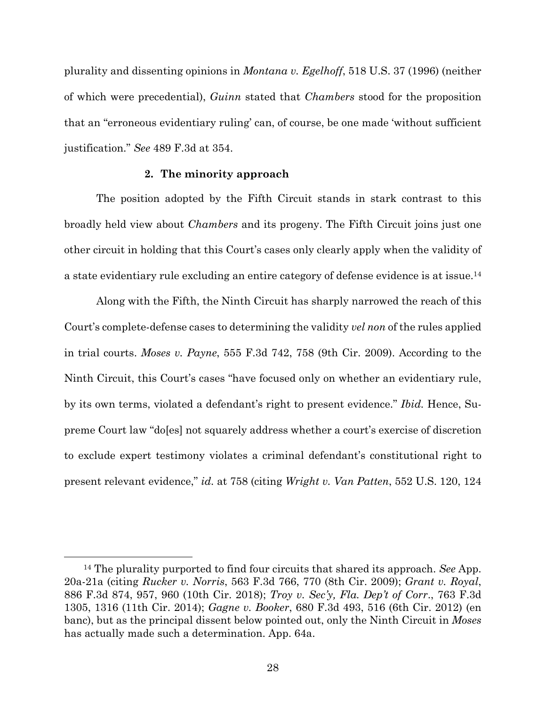plurality and dissenting opinions in *Montana v. Egelhoff*, 518 U.S. 37 (1996) (neither of which were precedential), *Guinn* stated that *Chambers* stood for the proposition that an "erroneous evidentiary ruling' can, of course, be one made 'without sufficient justification." *See* 489 F.3d at 354.

### **2. The minority approach**

 The position adopted by the Fifth Circuit stands in stark contrast to this broadly held view about *Chambers* and its progeny. The Fifth Circuit joins just one other circuit in holding that this Court's cases only clearly apply when the validity of a state evidentiary rule excluding an entire category of defense evidence is at issue.14

 Along with the Fifth, the Ninth Circuit has sharply narrowed the reach of this Court's complete-defense cases to determining the validity *vel non* of the rules applied in trial courts. *Moses v. Payne*, 555 F.3d 742, 758 (9th Cir. 2009). According to the Ninth Circuit, this Court's cases "have focused only on whether an evidentiary rule, by its own terms, violated a defendant's right to present evidence." *Ibid.* Hence, Supreme Court law "do[es] not squarely address whether a court's exercise of discretion to exclude expert testimony violates a criminal defendant's constitutional right to present relevant evidence," *id.* at 758 (citing *Wright v. Van Patten*, 552 U.S. 120, 124

<sup>14</sup> The plurality purported to find four circuits that shared its approach. *See* App. 20a-21a (citing *Rucker v. Norris*, 563 F.3d 766, 770 (8th Cir. 2009); *Grant v. Royal*, 886 F.3d 874, 957, 960 (10th Cir. 2018); *Troy v. Sec'y, Fla. Dep't of Corr*., 763 F.3d 1305, 1316 (11th Cir. 2014); *Gagne v. Booker*, 680 F.3d 493, 516 (6th Cir. 2012) (en banc), but as the principal dissent below pointed out, only the Ninth Circuit in *Moses* has actually made such a determination. App. 64a.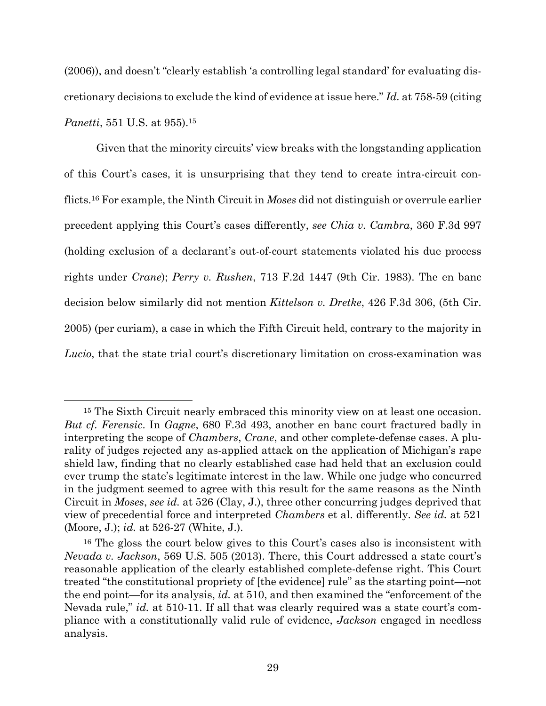(2006)), and doesn't "clearly establish 'a controlling legal standard' for evaluating discretionary decisions to exclude the kind of evidence at issue here." *Id.* at 758-59 (citing *Panetti*, 551 U.S. at 955).<sup>15</sup>

 Given that the minority circuits' view breaks with the longstanding application of this Court's cases, it is unsurprising that they tend to create intra-circuit conflicts.16 For example, the Ninth Circuit in *Moses* did not distinguish or overrule earlier precedent applying this Court's cases differently, *see Chia v. Cambra*, 360 F.3d 997 (holding exclusion of a declarant's out-of-court statements violated his due process rights under *Crane*); *Perry v. Rushen*, 713 F.2d 1447 (9th Cir. 1983). The en banc decision below similarly did not mention *Kittelson v. Dretke*, 426 F.3d 306, (5th Cir. 2005) (per curiam), a case in which the Fifth Circuit held, contrary to the majority in *Lucio*, that the state trial court's discretionary limitation on cross-examination was

<sup>&</sup>lt;sup>15</sup> The Sixth Circuit nearly embraced this minority view on at least one occasion. *But cf. Ferensic*. In *Gagne*, 680 F.3d 493, another en banc court fractured badly in interpreting the scope of *Chambers*, *Crane*, and other complete-defense cases. A plurality of judges rejected any as-applied attack on the application of Michigan's rape shield law, finding that no clearly established case had held that an exclusion could ever trump the state's legitimate interest in the law. While one judge who concurred in the judgment seemed to agree with this result for the same reasons as the Ninth Circuit in *Moses*, *see id.* at 526 (Clay, J.), three other concurring judges deprived that view of precedential force and interpreted *Chambers* et al. differently. *See id.* at 521 (Moore, J.); *id.* at 526-27 (White, J.).

<sup>16</sup> The gloss the court below gives to this Court's cases also is inconsistent with *Nevada v. Jackson*, 569 U.S. 505 (2013). There, this Court addressed a state court's reasonable application of the clearly established complete-defense right. This Court treated "the constitutional propriety of [the evidence] rule" as the starting point—not the end point—for its analysis, *id.* at 510, and then examined the "enforcement of the Nevada rule," *id.* at 510-11. If all that was clearly required was a state court's compliance with a constitutionally valid rule of evidence, *Jackson* engaged in needless analysis.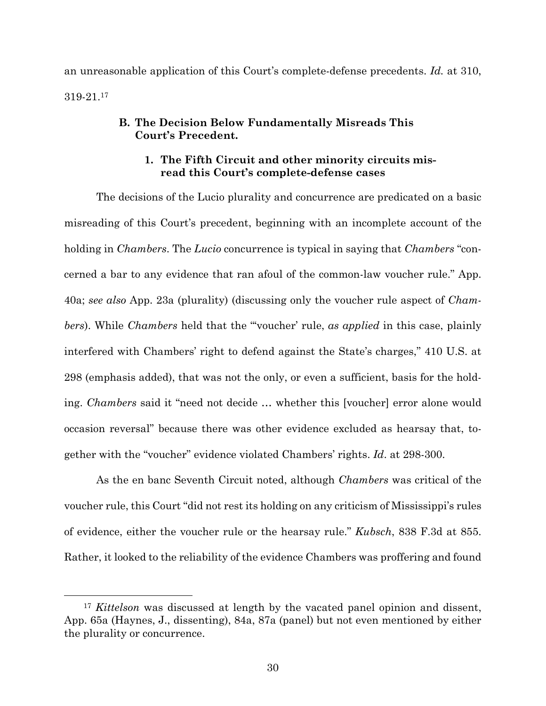an unreasonable application of this Court's complete-defense precedents. *Id.* at 310, 319-21.17

## **B. The Decision Below Fundamentally Misreads This Court's Precedent.**

## **1. The Fifth Circuit and other minority circuits misread this Court's complete-defense cases**

 The decisions of the Lucio plurality and concurrence are predicated on a basic misreading of this Court's precedent, beginning with an incomplete account of the holding in *Chambers*. The *Lucio* concurrence is typical in saying that *Chambers* "concerned a bar to any evidence that ran afoul of the common-law voucher rule." App. 40a; *see also* App. 23a (plurality) (discussing only the voucher rule aspect of *Chambers*). While *Chambers* held that the "'voucher' rule, *as applied* in this case, plainly interfered with Chambers' right to defend against the State's charges," 410 U.S. at 298 (emphasis added), that was not the only, or even a sufficient, basis for the holding. *Chambers* said it "need not decide … whether this [voucher] error alone would occasion reversal" because there was other evidence excluded as hearsay that, together with the "voucher" evidence violated Chambers' rights. *Id*. at 298-300.

 As the en banc Seventh Circuit noted, although *Chambers* was critical of the voucher rule, this Court "did not rest its holding on any criticism of Mississippi's rules of evidence, either the voucher rule or the hearsay rule." *Kubsch*, 838 F.3d at 855. Rather, it looked to the reliability of the evidence Chambers was proffering and found

<sup>&</sup>lt;sup>17</sup> *Kittelson* was discussed at length by the vacated panel opinion and dissent, App. 65a (Haynes, J., dissenting), 84a, 87a (panel) but not even mentioned by either the plurality or concurrence.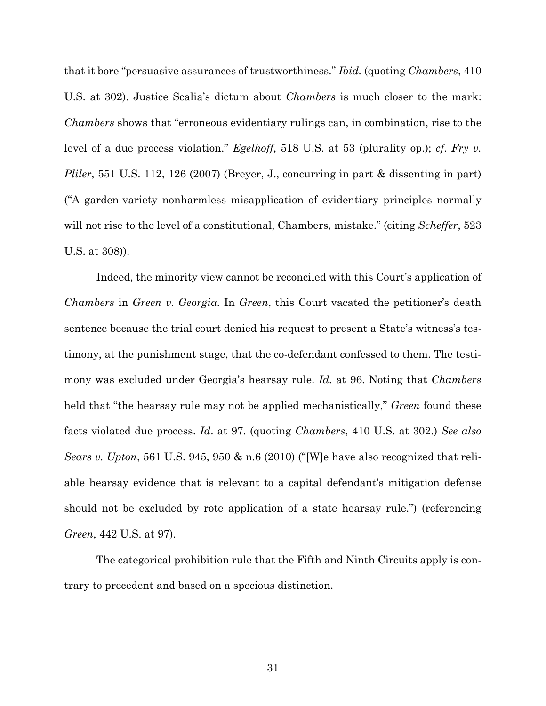that it bore "persuasive assurances of trustworthiness." *Ibid.* (quoting *Chambers*, 410 U.S. at 302). Justice Scalia's dictum about *Chambers* is much closer to the mark: *Chambers* shows that "erroneous evidentiary rulings can, in combination, rise to the level of a due process violation." *Egelhoff*, 518 U.S. at 53 (plurality op.); *cf*. *Fry v. Pliler*, 551 U.S. 112, 126 (2007) (Breyer, J., concurring in part & dissenting in part) ("A garden-variety nonharmless misapplication of evidentiary principles normally will not rise to the level of a constitutional, Chambers, mistake." (citing *Scheffer*, 523 U.S. at 308)).

 Indeed, the minority view cannot be reconciled with this Court's application of *Chambers* in *Green v. Georgia*. In *Green*, this Court vacated the petitioner's death sentence because the trial court denied his request to present a State's witness's testimony, at the punishment stage, that the co-defendant confessed to them. The testimony was excluded under Georgia's hearsay rule. *Id.* at 96. Noting that *Chambers*  held that "the hearsay rule may not be applied mechanistically," *Green* found these facts violated due process. *Id*. at 97. (quoting *Chambers*, 410 U.S. at 302.) *See also Sears v. Upton*, 561 U.S. 945, 950 & n.6 (2010) ("[W]e have also recognized that reliable hearsay evidence that is relevant to a capital defendant's mitigation defense should not be excluded by rote application of a state hearsay rule.") (referencing *Green*, 442 U.S. at 97).

 The categorical prohibition rule that the Fifth and Ninth Circuits apply is contrary to precedent and based on a specious distinction.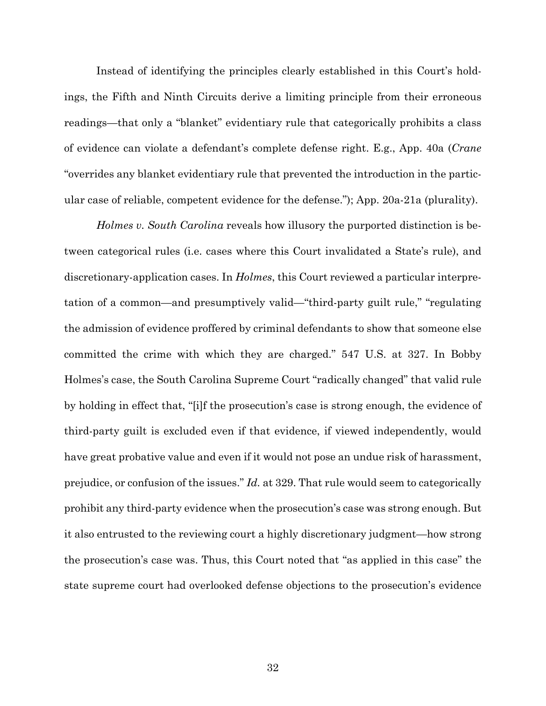Instead of identifying the principles clearly established in this Court's holdings, the Fifth and Ninth Circuits derive a limiting principle from their erroneous readings—that only a "blanket" evidentiary rule that categorically prohibits a class of evidence can violate a defendant's complete defense right. E.g., App. 40a (*Crane* "overrides any blanket evidentiary rule that prevented the introduction in the particular case of reliable, competent evidence for the defense."); App. 20a-21a (plurality).

*Holmes v. South Carolina* reveals how illusory the purported distinction is between categorical rules (i.e. cases where this Court invalidated a State's rule), and discretionary-application cases. In *Holmes*, this Court reviewed a particular interpretation of a common—and presumptively valid—"third-party guilt rule," "regulating the admission of evidence proffered by criminal defendants to show that someone else committed the crime with which they are charged." 547 U.S. at 327. In Bobby Holmes's case, the South Carolina Supreme Court "radically changed" that valid rule by holding in effect that, "[i]f the prosecution's case is strong enough, the evidence of third-party guilt is excluded even if that evidence, if viewed independently, would have great probative value and even if it would not pose an undue risk of harassment, prejudice, or confusion of the issues." *Id.* at 329. That rule would seem to categorically prohibit any third-party evidence when the prosecution's case was strong enough. But it also entrusted to the reviewing court a highly discretionary judgment—how strong the prosecution's case was. Thus, this Court noted that "as applied in this case" the state supreme court had overlooked defense objections to the prosecution's evidence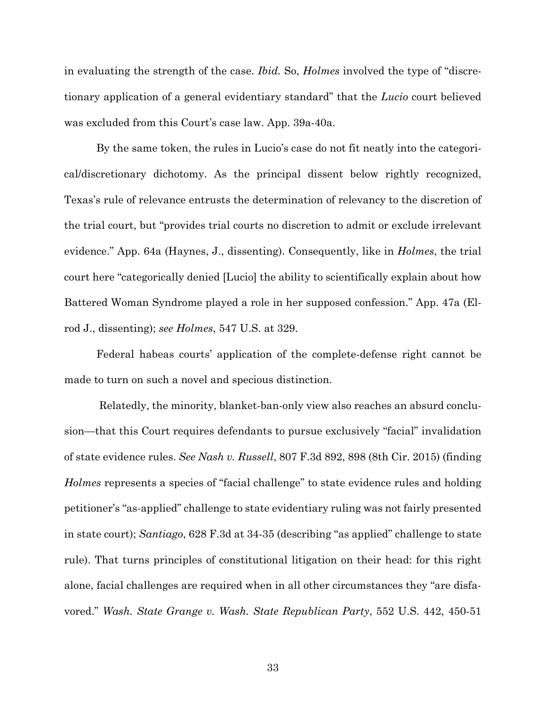in evaluating the strength of the case. *Ibid.* So, *Holmes* involved the type of "discretionary application of a general evidentiary standard" that the *Lucio* court believed was excluded from this Court's case law. App. 39a-40a.

 By the same token, the rules in Lucio's case do not fit neatly into the categorical/discretionary dichotomy. As the principal dissent below rightly recognized, Texas's rule of relevance entrusts the determination of relevancy to the discretion of the trial court, but "provides trial courts no discretion to admit or exclude irrelevant evidence." App. 64a (Haynes, J., dissenting). Consequently, like in *Holmes*, the trial court here "categorically denied [Lucio] the ability to scientifically explain about how Battered Woman Syndrome played a role in her supposed confession." App. 47a (Elrod J., dissenting); *see Holmes*, 547 U.S. at 329.

 Federal habeas courts' application of the complete-defense right cannot be made to turn on such a novel and specious distinction.

 Relatedly, the minority, blanket-ban-only view also reaches an absurd conclusion—that this Court requires defendants to pursue exclusively "facial" invalidation of state evidence rules. *See Nash v. Russell*, 807 F.3d 892, 898 (8th Cir. 2015) (finding *Holmes* represents a species of "facial challenge" to state evidence rules and holding petitioner's "as-applied" challenge to state evidentiary ruling was not fairly presented in state court); *Santiago*, 628 F.3d at 34-35 (describing "as applied" challenge to state rule). That turns principles of constitutional litigation on their head: for this right alone, facial challenges are required when in all other circumstances they "are disfavored." *Wash. State Grange v. Wash. State Republican Party*, 552 U.S. 442, 450-51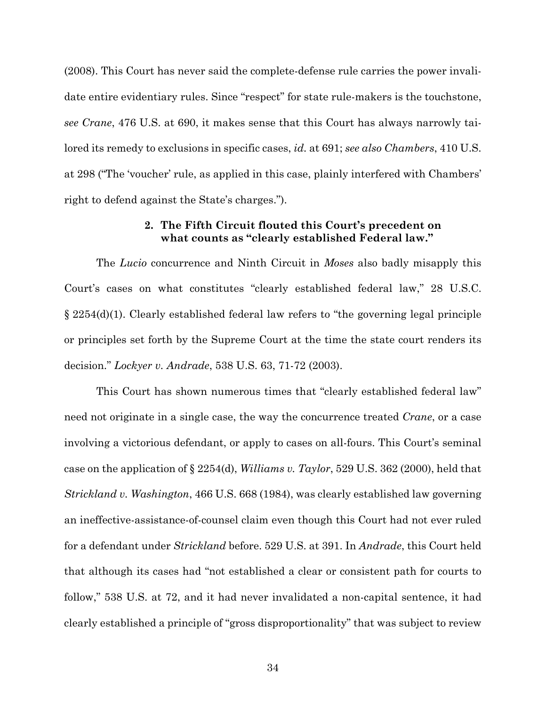(2008). This Court has never said the complete-defense rule carries the power invalidate entire evidentiary rules. Since "respect" for state rule-makers is the touchstone, *see Crane*, 476 U.S. at 690, it makes sense that this Court has always narrowly tailored its remedy to exclusions in specific cases, *id.* at 691; *see also Chambers*, 410 U.S. at 298 ("The 'voucher' rule, as applied in this case, plainly interfered with Chambers' right to defend against the State's charges.").

## **2. The Fifth Circuit flouted this Court's precedent on what counts as "clearly established Federal law."**

 The *Lucio* concurrence and Ninth Circuit in *Moses* also badly misapply this Court's cases on what constitutes "clearly established federal law," 28 U.S.C. § 2254(d)(1). Clearly established federal law refers to "the governing legal principle or principles set forth by the Supreme Court at the time the state court renders its decision." *Lockyer v. Andrade*, 538 U.S. 63, 71-72 (2003).

 This Court has shown numerous times that "clearly established federal law" need not originate in a single case, the way the concurrence treated *Crane*, or a case involving a victorious defendant, or apply to cases on all-fours. This Court's seminal case on the application of § 2254(d), *Williams v. Taylor*, 529 U.S. 362 (2000), held that *Strickland v. Washington*, 466 U.S. 668 (1984), was clearly established law governing an ineffective-assistance-of-counsel claim even though this Court had not ever ruled for a defendant under *Strickland* before. 529 U.S. at 391. In *Andrade*, this Court held that although its cases had "not established a clear or consistent path for courts to follow," 538 U.S. at 72, and it had never invalidated a non-capital sentence, it had clearly established a principle of "gross disproportionality" that was subject to review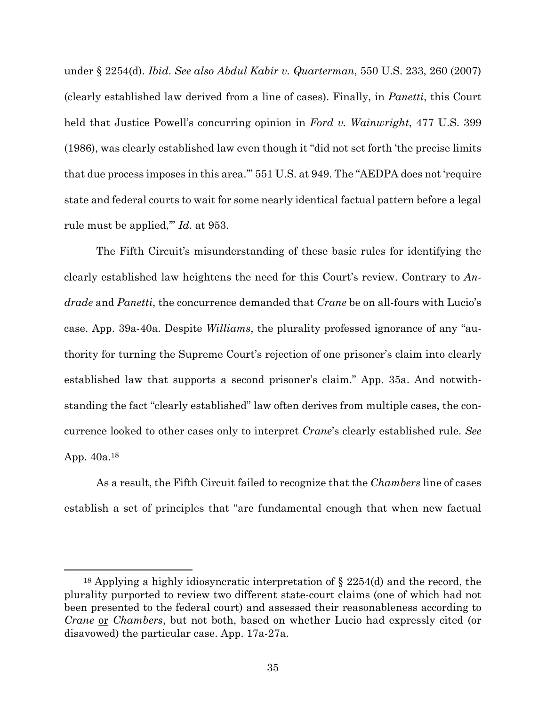under § 2254(d). *Ibid*. *See also Abdul Kabir v. Quarterman*, 550 U.S. 233, 260 (2007) (clearly established law derived from a line of cases). Finally, in *Panetti*, this Court held that Justice Powell's concurring opinion in *Ford v. Wainwright*, 477 U.S. 399 (1986), was clearly established law even though it "did not set forth 'the precise limits that due process imposes in this area.'" 551 U.S. at 949. The "AEDPA does not 'require state and federal courts to wait for some nearly identical factual pattern before a legal rule must be applied,'" *Id*. at 953.

 The Fifth Circuit's misunderstanding of these basic rules for identifying the clearly established law heightens the need for this Court's review. Contrary to *Andrade* and *Panetti*, the concurrence demanded that *Crane* be on all-fours with Lucio's case. App. 39a-40a. Despite *Williams*, the plurality professed ignorance of any "authority for turning the Supreme Court's rejection of one prisoner's claim into clearly established law that supports a second prisoner's claim." App. 35a. And notwithstanding the fact "clearly established" law often derives from multiple cases, the concurrence looked to other cases only to interpret *Crane*'s clearly established rule. *See* App. 40a.18

 As a result, the Fifth Circuit failed to recognize that the *Chambers* line of cases establish a set of principles that "are fundamental enough that when new factual

<sup>18</sup> Applying a highly idiosyncratic interpretation of § 2254(d) and the record, the plurality purported to review two different state-court claims (one of which had not been presented to the federal court) and assessed their reasonableness according to *Crane* or *Chambers*, but not both, based on whether Lucio had expressly cited (or disavowed) the particular case. App. 17a-27a.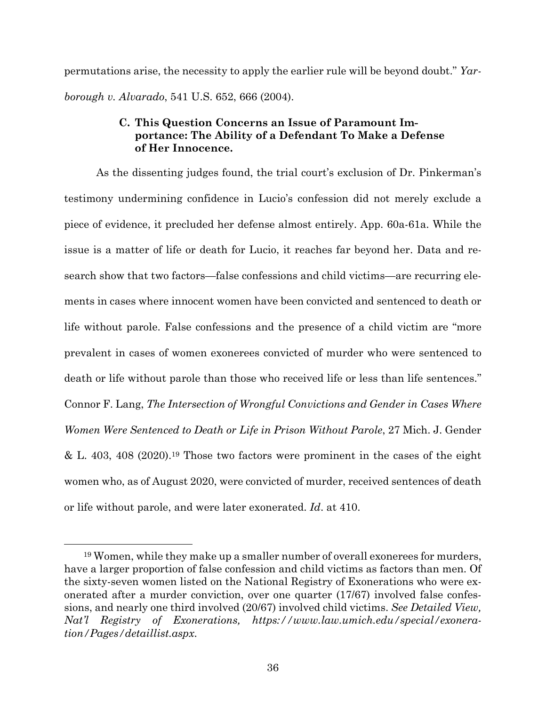permutations arise, the necessity to apply the earlier rule will be beyond doubt." *Yarborough v. Alvarado*, 541 U.S. 652, 666 (2004).

## **C. This Question Concerns an Issue of Paramount Importance: The Ability of a Defendant To Make a Defense of Her Innocence.**

 As the dissenting judges found, the trial court's exclusion of Dr. Pinkerman's testimony undermining confidence in Lucio's confession did not merely exclude a piece of evidence, it precluded her defense almost entirely. App. 60a-61a. While the issue is a matter of life or death for Lucio, it reaches far beyond her. Data and research show that two factors—false confessions and child victims—are recurring elements in cases where innocent women have been convicted and sentenced to death or life without parole. False confessions and the presence of a child victim are "more prevalent in cases of women exonerees convicted of murder who were sentenced to death or life without parole than those who received life or less than life sentences." Connor F. Lang, *The Intersection of Wrongful Convictions and Gender in Cases Where Women Were Sentenced to Death or Life in Prison Without Parole*, 27 Mich. J. Gender & L. 403, 408 (2020).19 Those two factors were prominent in the cases of the eight women who, as of August 2020, were convicted of murder, received sentences of death or life without parole, and were later exonerated. *Id*. at 410.

<sup>19</sup> Women, while they make up a smaller number of overall exonerees for murders, have a larger proportion of false confession and child victims as factors than men. Of the sixty-seven women listed on the National Registry of Exonerations who were exonerated after a murder conviction, over one quarter (17/67) involved false confessions, and nearly one third involved (20/67) involved child victims. *See Detailed View, Nat'l Registry of Exonerations, https://www.law.umich.edu/special/exoneration/Pages/detaillist.aspx*.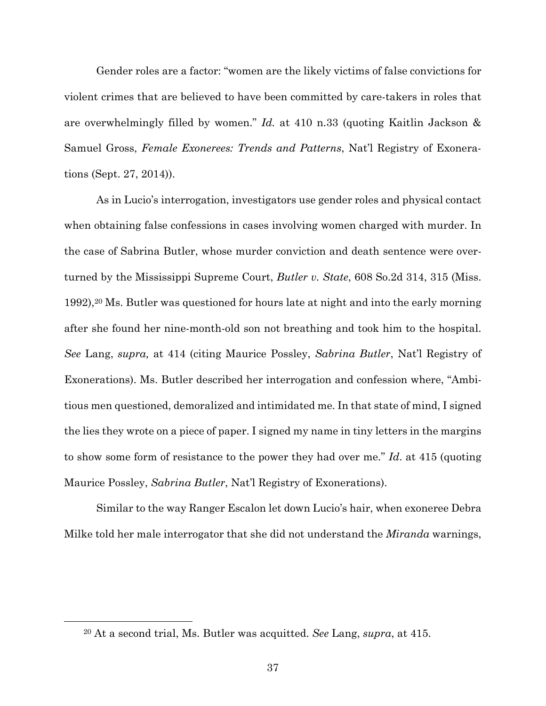Gender roles are a factor: "women are the likely victims of false convictions for violent crimes that are believed to have been committed by care-takers in roles that are overwhelmingly filled by women." *Id.* at 410 n.33 (quoting Kaitlin Jackson & Samuel Gross, *Female Exonerees: Trends and Patterns*, Nat'l Registry of Exonerations (Sept. 27, 2014)).

 As in Lucio's interrogation, investigators use gender roles and physical contact when obtaining false confessions in cases involving women charged with murder. In the case of Sabrina Butler, whose murder conviction and death sentence were overturned by the Mississippi Supreme Court, *Butler v. State*, 608 So.2d 314, 315 (Miss. 1992),20 Ms. Butler was questioned for hours late at night and into the early morning after she found her nine-month-old son not breathing and took him to the hospital. *See* Lang, *supra,* at 414 (citing Maurice Possley, *Sabrina Butler*, Nat'l Registry of Exonerations). Ms. Butler described her interrogation and confession where, "Ambitious men questioned, demoralized and intimidated me. In that state of mind, I signed the lies they wrote on a piece of paper. I signed my name in tiny letters in the margins to show some form of resistance to the power they had over me." *Id*. at 415 (quoting Maurice Possley, *Sabrina Butler*, Nat'l Registry of Exonerations).

 Similar to the way Ranger Escalon let down Lucio's hair, when exoneree Debra Milke told her male interrogator that she did not understand the *Miranda* warnings,

<sup>20</sup> At a second trial, Ms. Butler was acquitted. *See* Lang, *supra*, at 415.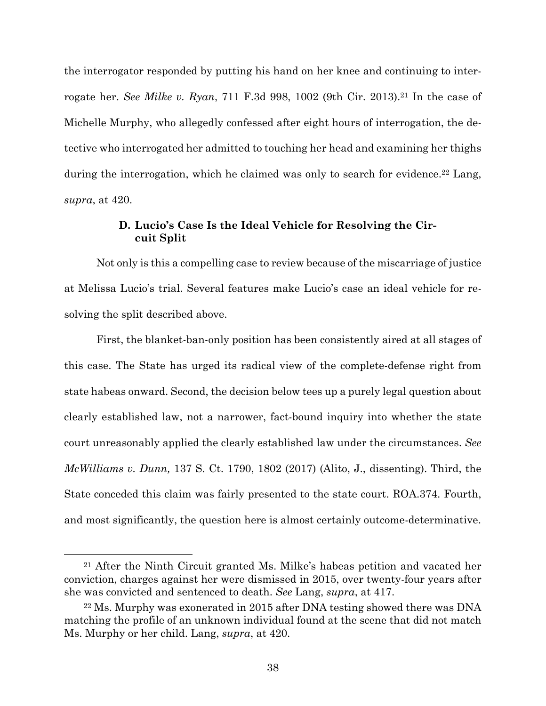the interrogator responded by putting his hand on her knee and continuing to interrogate her. *See Milke v. Ryan*, 711 F.3d 998, 1002 (9th Cir. 2013).21 In the case of Michelle Murphy, who allegedly confessed after eight hours of interrogation, the detective who interrogated her admitted to touching her head and examining her thighs during the interrogation, which he claimed was only to search for evidence.<sup>22</sup> Lang, *supra*, at 420.

## **D. Lucio's Case Is the Ideal Vehicle for Resolving the Circuit Split**

 Not only is this a compelling case to review because of the miscarriage of justice at Melissa Lucio's trial. Several features make Lucio's case an ideal vehicle for resolving the split described above.

 First, the blanket-ban-only position has been consistently aired at all stages of this case. The State has urged its radical view of the complete-defense right from state habeas onward. Second, the decision below tees up a purely legal question about clearly established law, not a narrower, fact-bound inquiry into whether the state court unreasonably applied the clearly established law under the circumstances. *See McWilliams v. Dunn,* 137 S. Ct. 1790, 1802 (2017) (Alito, J., dissenting). Third, the State conceded this claim was fairly presented to the state court. ROA.374. Fourth, and most significantly, the question here is almost certainly outcome-determinative.

<sup>21</sup> After the Ninth Circuit granted Ms. Milke's habeas petition and vacated her conviction, charges against her were dismissed in 2015, over twenty-four years after she was convicted and sentenced to death. *See* Lang, *supra*, at 417.

<sup>22</sup> Ms. Murphy was exonerated in 2015 after DNA testing showed there was DNA matching the profile of an unknown individual found at the scene that did not match Ms. Murphy or her child. Lang, *supra*, at 420.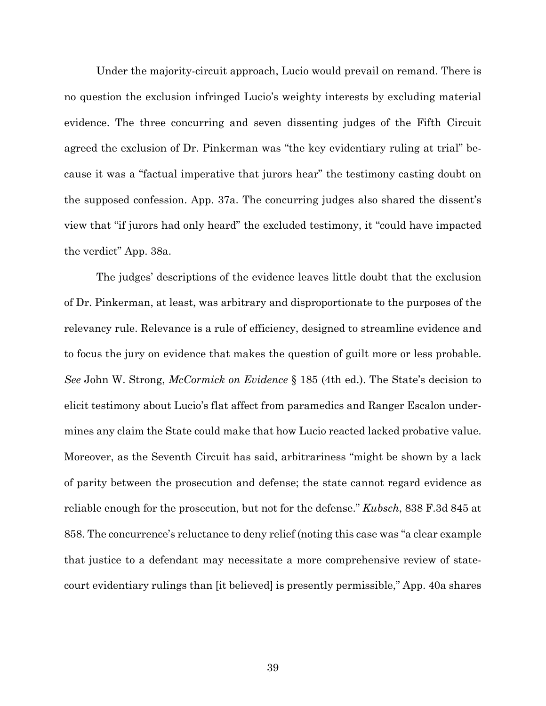Under the majority-circuit approach, Lucio would prevail on remand. There is no question the exclusion infringed Lucio's weighty interests by excluding material evidence. The three concurring and seven dissenting judges of the Fifth Circuit agreed the exclusion of Dr. Pinkerman was "the key evidentiary ruling at trial" because it was a "factual imperative that jurors hear" the testimony casting doubt on the supposed confession. App. 37a. The concurring judges also shared the dissent's view that "if jurors had only heard" the excluded testimony, it "could have impacted the verdict" App. 38a.

 The judges' descriptions of the evidence leaves little doubt that the exclusion of Dr. Pinkerman, at least, was arbitrary and disproportionate to the purposes of the relevancy rule. Relevance is a rule of efficiency, designed to streamline evidence and to focus the jury on evidence that makes the question of guilt more or less probable. *See* John W. Strong, *McCormick on Evidence* § 185 (4th ed.). The State's decision to elicit testimony about Lucio's flat affect from paramedics and Ranger Escalon undermines any claim the State could make that how Lucio reacted lacked probative value. Moreover, as the Seventh Circuit has said, arbitrariness "might be shown by a lack of parity between the prosecution and defense; the state cannot regard evidence as reliable enough for the prosecution, but not for the defense." *Kubsch*, 838 F.3d 845 at 858. The concurrence's reluctance to deny relief (noting this case was "a clear example that justice to a defendant may necessitate a more comprehensive review of statecourt evidentiary rulings than [it believed] is presently permissible," App. 40a shares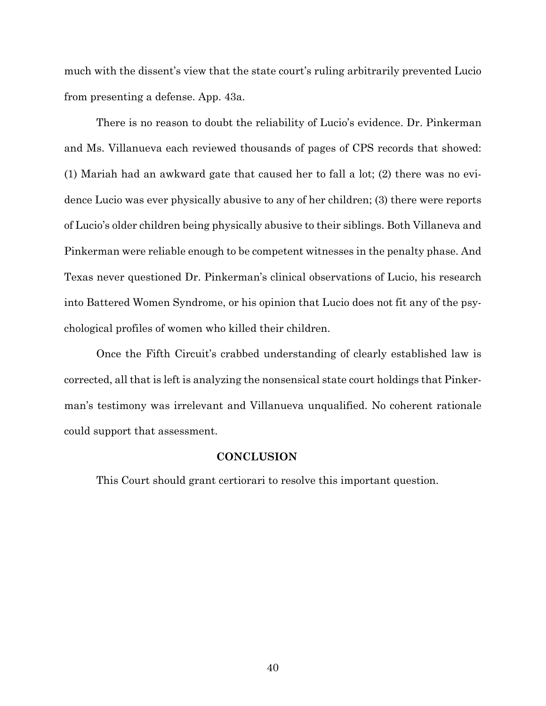much with the dissent's view that the state court's ruling arbitrarily prevented Lucio from presenting a defense. App. 43a.

 There is no reason to doubt the reliability of Lucio's evidence. Dr. Pinkerman and Ms. Villanueva each reviewed thousands of pages of CPS records that showed: (1) Mariah had an awkward gate that caused her to fall a lot; (2) there was no evidence Lucio was ever physically abusive to any of her children; (3) there were reports of Lucio's older children being physically abusive to their siblings. Both Villaneva and Pinkerman were reliable enough to be competent witnesses in the penalty phase. And Texas never questioned Dr. Pinkerman's clinical observations of Lucio, his research into Battered Women Syndrome, or his opinion that Lucio does not fit any of the psychological profiles of women who killed their children.

 Once the Fifth Circuit's crabbed understanding of clearly established law is corrected, all that is left is analyzing the nonsensical state court holdings that Pinkerman's testimony was irrelevant and Villanueva unqualified. No coherent rationale could support that assessment.

### **CONCLUSION**

This Court should grant certiorari to resolve this important question.